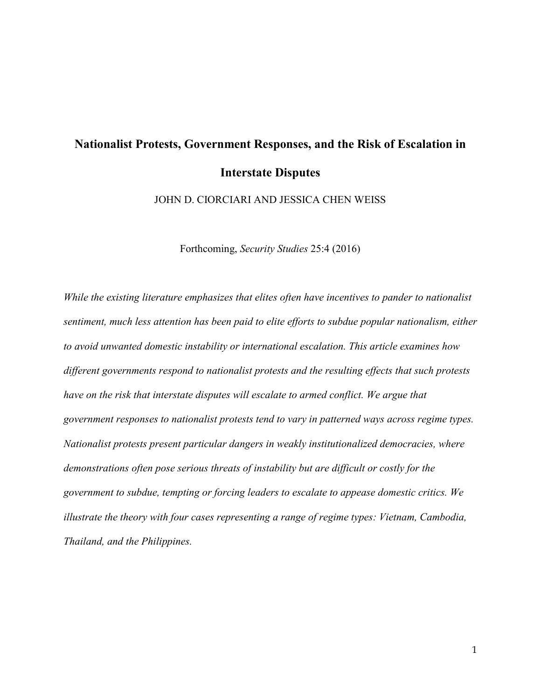# **Nationalist Protests, Government Responses, and the Risk of Escalation in Interstate Disputes**

JOHN D. CIORCIARI AND JESSICA CHEN WEISS

Forthcoming, *Security Studies* 25:4 (2016)

*While the existing literature emphasizes that elites often have incentives to pander to nationalist sentiment, much less attention has been paid to elite efforts to subdue popular nationalism, either to avoid unwanted domestic instability or international escalation. This article examines how different governments respond to nationalist protests and the resulting effects that such protests have on the risk that interstate disputes will escalate to armed conflict. We argue that government responses to nationalist protests tend to vary in patterned ways across regime types. Nationalist protests present particular dangers in weakly institutionalized democracies, where demonstrations often pose serious threats of instability but are difficult or costly for the government to subdue, tempting or forcing leaders to escalate to appease domestic critics. We illustrate the theory with four cases representing a range of regime types: Vietnam, Cambodia, Thailand, and the Philippines.*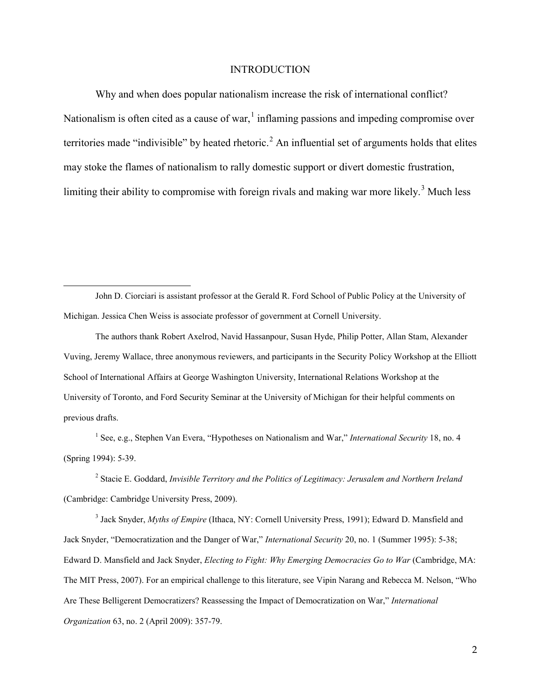#### **INTRODUCTION**

Why and when does popular nationalism increase the risk of international conflict? Nationalism is often cited as a cause of war, $\frac{1}{1}$  $\frac{1}{1}$  $\frac{1}{1}$  inflaming passions and impeding compromise over territories made "indivisible" by heated rhetoric.<sup>[2](#page-1-1)</sup> An influential set of arguments holds that elites may stoke the flames of nationalism to rally domestic support or divert domestic frustration, limiting their ability to compromise with foreign rivals and making war more likely.<sup>[3](#page-1-2)</sup> Much less

<span id="page-1-0"></span>John D. Ciorciari is assistant professor at the Gerald R. Ford School of Public Policy at the University of Michigan. Jessica Chen Weiss is associate professor of government at Cornell University.

 $\overline{a}$ 

The authors thank Robert Axelrod, Navid Hassanpour, Susan Hyde, Philip Potter, Allan Stam, Alexander Vuving, Jeremy Wallace, three anonymous reviewers, and participants in the Security Policy Workshop at the Elliott School of International Affairs at George Washington University, International Relations Workshop at the University of Toronto, and Ford Security Seminar at the University of Michigan for their helpful comments on previous drafts.

<sup>1</sup> See, e.g., Stephen Van Evera, "Hypotheses on Nationalism and War," *International Security* 18, no. 4 (Spring 1994): 5-39.

<span id="page-1-1"></span><sup>2</sup> Stacie E. Goddard, *Invisible Territory and the Politics of Legitimacy: Jerusalem and Northern Ireland*  (Cambridge: Cambridge University Press, 2009).

<span id="page-1-2"></span><sup>3</sup> Jack Snyder, *Myths of Empire* (Ithaca, NY: Cornell University Press, 1991); Edward D. Mansfield and Jack Snyder, "Democratization and the Danger of War," *International Security* 20, no. 1 (Summer 1995): 5-38; Edward D. Mansfield and Jack Snyder, *Electing to Fight: Why Emerging Democracies Go to War* (Cambridge, MA: The MIT Press, 2007). For an empirical challenge to this literature, see Vipin Narang and Rebecca M. Nelson, "Who Are These Belligerent Democratizers? Reassessing the Impact of Democratization on War," *International Organization* 63, no. 2 (April 2009): 357-79.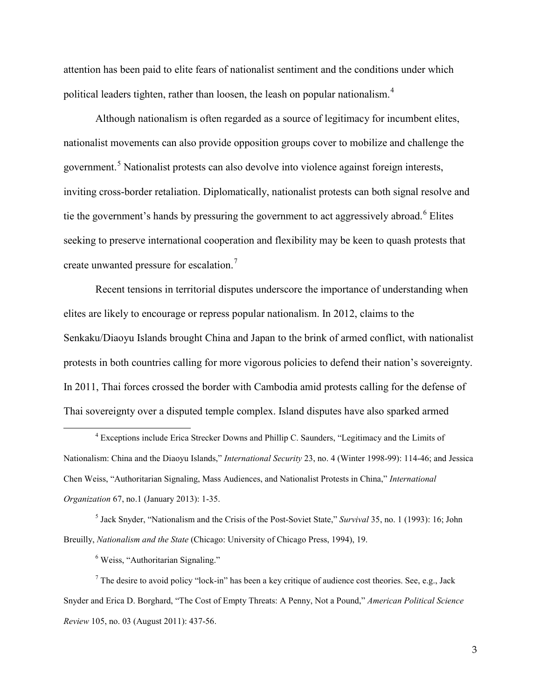attention has been paid to elite fears of nationalist sentiment and the conditions under which political leaders tighten, rather than loosen, the leash on popular nationalism.[4](#page-2-0)

Although nationalism is often regarded as a source of legitimacy for incumbent elites, nationalist movements can also provide opposition groups cover to mobilize and challenge the government.<sup>[5](#page-2-1)</sup> Nationalist protests can also devolve into violence against foreign interests, inviting cross-border retaliation. Diplomatically, nationalist protests can both signal resolve and tie the government's hands by pressuring the government to act aggressively abroad.<sup>[6](#page-2-2)</sup> Elites seeking to preserve international cooperation and flexibility may be keen to quash protests that create unwanted pressure for escalation.<sup>[7](#page-2-3)</sup>

Recent tensions in territorial disputes underscore the importance of understanding when elites are likely to encourage or repress popular nationalism. In 2012, claims to the Senkaku/Diaoyu Islands brought China and Japan to the brink of armed conflict, with nationalist protests in both countries calling for more vigorous policies to defend their nation's sovereignty. In 2011, Thai forces crossed the border with Cambodia amid protests calling for the defense of Thai sovereignty over a disputed temple complex. Island disputes have also sparked armed

<span id="page-2-1"></span><sup>5</sup> Jack Snyder, "Nationalism and the Crisis of the Post-Soviet State," *Survival* 35, no. 1 (1993): 16; John Breuilly, *Nationalism and the State* (Chicago: University of Chicago Press, 1994), 19.

<sup>6</sup> Weiss, "Authoritarian Signaling."

 $\ddot{\phantom{a}}$ 

<span id="page-2-3"></span><span id="page-2-2"></span> $<sup>7</sup>$  The desire to avoid policy "lock-in" has been a key critique of audience cost theories. See, e.g., Jack</sup> Snyder and Erica D. Borghard, "The Cost of Empty Threats: A Penny, Not a Pound," *American Political Science Review* 105, no. 03 (August 2011): 437-56.

<span id="page-2-0"></span><sup>4</sup> Exceptions include Erica Strecker Downs and Phillip C. Saunders, "Legitimacy and the Limits of Nationalism: China and the Diaoyu Islands," *International Security* 23, no. 4 (Winter 1998-99): 114-46; and Jessica Chen Weiss, "Authoritarian Signaling, Mass Audiences, and Nationalist Protests in China," *International Organization* 67, no.1 (January 2013): 1-35.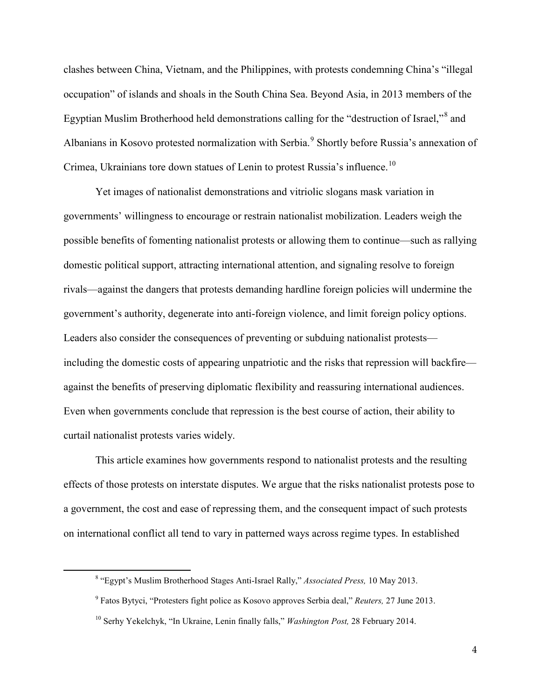clashes between China, Vietnam, and the Philippines, with protests condemning China's "illegal occupation" of islands and shoals in the South China Sea. Beyond Asia, in 2013 members of the Egyptian Muslim Brotherhood held demonstrations calling for the "destruction of Israel,"[8](#page-3-0) and Albanians in Kosovo protested normalization with Serbia.<sup>[9](#page-3-1)</sup> Shortly before Russia's annexation of Crimea, Ukrainians tore down statues of Lenin to protest Russia's influence.<sup>[10](#page-3-2)</sup>

Yet images of nationalist demonstrations and vitriolic slogans mask variation in governments' willingness to encourage or restrain nationalist mobilization. Leaders weigh the possible benefits of fomenting nationalist protests or allowing them to continue—such as rallying domestic political support, attracting international attention, and signaling resolve to foreign rivals—against the dangers that protests demanding hardline foreign policies will undermine the government's authority, degenerate into anti-foreign violence, and limit foreign policy options. Leaders also consider the consequences of preventing or subduing nationalist protests including the domestic costs of appearing unpatriotic and the risks that repression will backfire against the benefits of preserving diplomatic flexibility and reassuring international audiences. Even when governments conclude that repression is the best course of action, their ability to curtail nationalist protests varies widely.

This article examines how governments respond to nationalist protests and the resulting effects of those protests on interstate disputes. We argue that the risks nationalist protests pose to a government, the cost and ease of repressing them, and the consequent impact of such protests on international conflict all tend to vary in patterned ways across regime types. In established

<span id="page-3-2"></span><span id="page-3-1"></span><span id="page-3-0"></span> $\ddot{\phantom{a}}$ 

<sup>8</sup> "Egypt's Muslim Brotherhood Stages Anti-Israel Rally," *Associated Press,* 10 May 2013.

<sup>9</sup> Fatos Bytyci, "Protesters fight police as Kosovo approves Serbia deal," *Reuters,* 27 June 2013.

<sup>10</sup> Serhy Yekelchyk, "In Ukraine, Lenin finally falls," *Washington Post,* 28 February 2014.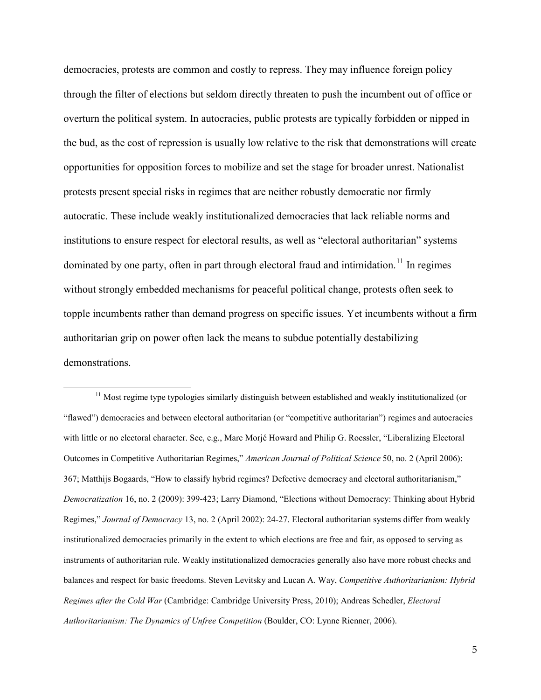democracies, protests are common and costly to repress. They may influence foreign policy through the filter of elections but seldom directly threaten to push the incumbent out of office or overturn the political system. In autocracies, public protests are typically forbidden or nipped in the bud, as the cost of repression is usually low relative to the risk that demonstrations will create opportunities for opposition forces to mobilize and set the stage for broader unrest. Nationalist protests present special risks in regimes that are neither robustly democratic nor firmly autocratic. These include weakly institutionalized democracies that lack reliable norms and institutions to ensure respect for electoral results, as well as "electoral authoritarian" systems dominated by one party, often in part through electoral fraud and intimidation.<sup>[11](#page-4-0)</sup> In regimes without strongly embedded mechanisms for peaceful political change, protests often seek to topple incumbents rather than demand progress on specific issues. Yet incumbents without a firm authoritarian grip on power often lack the means to subdue potentially destabilizing demonstrations.

 $\ddot{\phantom{a}}$ 

<span id="page-4-0"></span><sup>&</sup>lt;sup>11</sup> Most regime type typologies similarly distinguish between established and weakly institutionalized (or "flawed") democracies and between electoral authoritarian (or "competitive authoritarian") regimes and autocracies with little or no electoral character. See, e.g., Marc Morjé Howard and Philip G. Roessler, "Liberalizing Electoral Outcomes in Competitive Authoritarian Regimes," *American Journal of Political Science* 50, no. 2 (April 2006): 367; Matthijs Bogaards, "How to classify hybrid regimes? Defective democracy and electoral authoritarianism," *Democratization* 16, no. 2 (2009): 399-423; Larry Diamond, "Elections without Democracy: Thinking about Hybrid Regimes," *Journal of Democracy* 13, no. 2 (April 2002): 24-27. Electoral authoritarian systems differ from weakly institutionalized democracies primarily in the extent to which elections are free and fair, as opposed to serving as instruments of authoritarian rule. Weakly institutionalized democracies generally also have more robust checks and balances and respect for basic freedoms. Steven Levitsky and Lucan A. Way, *Competitive Authoritarianism: Hybrid Regimes after the Cold War* (Cambridge: Cambridge University Press, 2010); Andreas Schedler, *Electoral Authoritarianism: The Dynamics of Unfree Competition* (Boulder, CO: Lynne Rienner, 2006).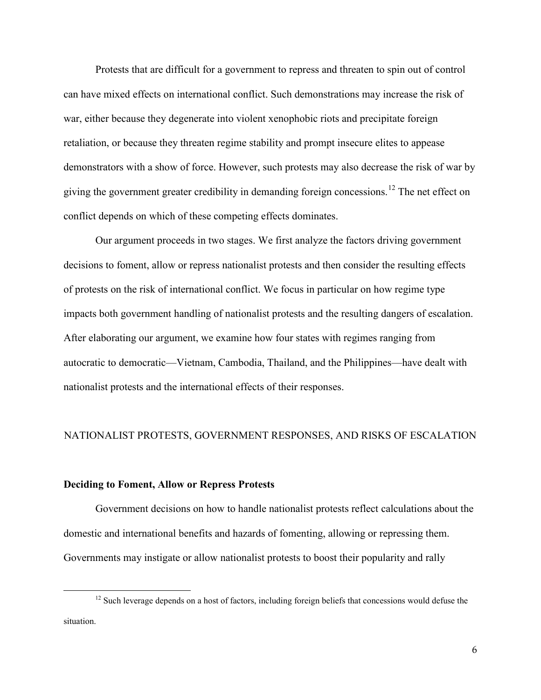Protests that are difficult for a government to repress and threaten to spin out of control can have mixed effects on international conflict. Such demonstrations may increase the risk of war, either because they degenerate into violent xenophobic riots and precipitate foreign retaliation, or because they threaten regime stability and prompt insecure elites to appease demonstrators with a show of force. However, such protests may also decrease the risk of war by giving the government greater credibility in demanding foreign concessions.<sup>[12](#page-5-0)</sup> The net effect on conflict depends on which of these competing effects dominates.

Our argument proceeds in two stages. We first analyze the factors driving government decisions to foment, allow or repress nationalist protests and then consider the resulting effects of protests on the risk of international conflict. We focus in particular on how regime type impacts both government handling of nationalist protests and the resulting dangers of escalation. After elaborating our argument, we examine how four states with regimes ranging from autocratic to democratic—Vietnam, Cambodia, Thailand, and the Philippines—have dealt with nationalist protests and the international effects of their responses.

### NATIONALIST PROTESTS, GOVERNMENT RESPONSES, AND RISKS OF ESCALATION

#### **Deciding to Foment, Allow or Repress Protests**

 $\overline{a}$ 

Government decisions on how to handle nationalist protests reflect calculations about the domestic and international benefits and hazards of fomenting, allowing or repressing them. Governments may instigate or allow nationalist protests to boost their popularity and rally

<span id="page-5-0"></span><sup>&</sup>lt;sup>12</sup> Such leverage depends on a host of factors, including foreign beliefs that concessions would defuse the situation.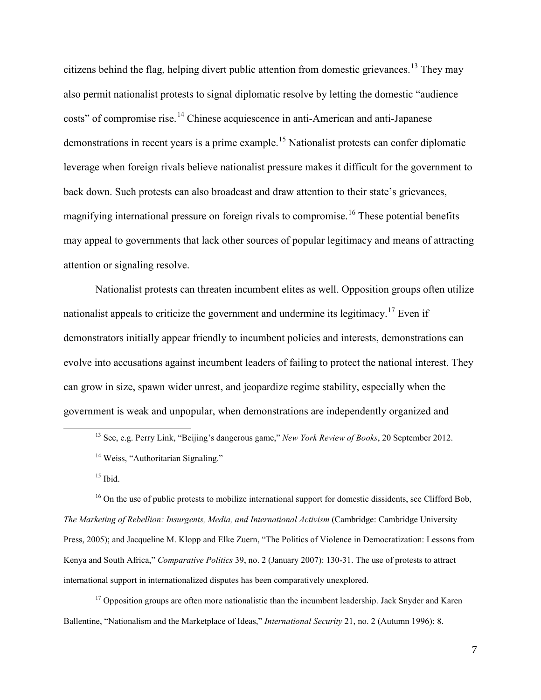citizens behind the flag, helping divert public attention from domestic grievances.<sup>[13](#page-6-0)</sup> They may also permit nationalist protests to signal diplomatic resolve by letting the domestic "audience costs" of compromise rise.<sup>[14](#page-6-1)</sup> Chinese acquiescence in anti-American and anti-Japanese demonstrations in recent years is a prime example.[15](#page-6-2) Nationalist protests can confer diplomatic leverage when foreign rivals believe nationalist pressure makes it difficult for the government to back down. Such protests can also broadcast and draw attention to their state's grievances, magnifying international pressure on foreign rivals to compromise.<sup>[16](#page-6-3)</sup> These potential benefits may appeal to governments that lack other sources of popular legitimacy and means of attracting attention or signaling resolve.

Nationalist protests can threaten incumbent elites as well. Opposition groups often utilize nationalist appeals to criticize the government and undermine its legitimacy.<sup>[17](#page-6-4)</sup> Even if demonstrators initially appear friendly to incumbent policies and interests, demonstrations can evolve into accusations against incumbent leaders of failing to protect the national interest. They can grow in size, spawn wider unrest, and jeopardize regime stability, especially when the government is weak and unpopular, when demonstrations are independently organized and

 $15$  Ibid.

<span id="page-6-1"></span><span id="page-6-0"></span> $\ddot{\phantom{a}}$ 

<span id="page-6-3"></span><span id="page-6-2"></span><sup>16</sup> On the use of public protests to mobilize international support for domestic dissidents, see Clifford Bob, *The Marketing of Rebellion: Insurgents, Media, and International Activism* (Cambridge: Cambridge University Press, 2005); and Jacqueline M. Klopp and Elke Zuern, "The Politics of Violence in Democratization: Lessons from Kenya and South Africa," *Comparative Politics* 39, no. 2 (January 2007): 130-31. The use of protests to attract international support in internationalized disputes has been comparatively unexplored.

<span id="page-6-4"></span> $17$  Opposition groups are often more nationalistic than the incumbent leadership. Jack Snyder and Karen Ballentine, "Nationalism and the Marketplace of Ideas," *International Security* 21, no. 2 (Autumn 1996): 8.

<sup>13</sup> See, e.g. Perry Link, "Beijing's dangerous game," *New York Review of Books*, 20 September 2012. <sup>14</sup> Weiss, "Authoritarian Signaling."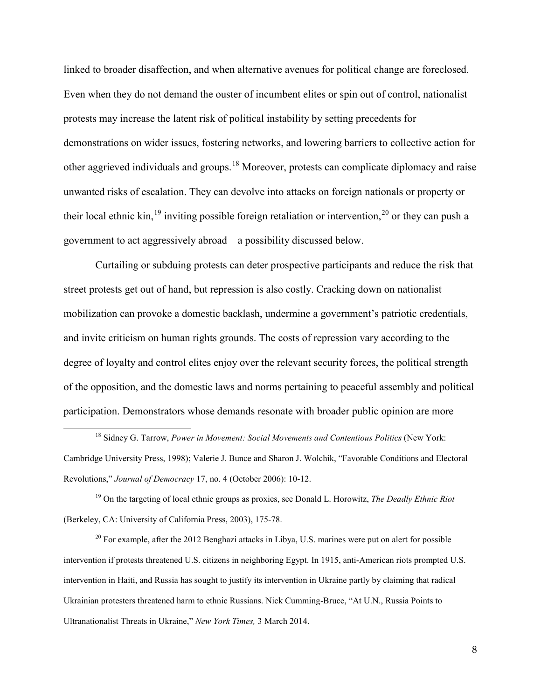linked to broader disaffection, and when alternative avenues for political change are foreclosed. Even when they do not demand the ouster of incumbent elites or spin out of control, nationalist protests may increase the latent risk of political instability by setting precedents for demonstrations on wider issues, fostering networks, and lowering barriers to collective action for other aggrieved individuals and groups.[18](#page-7-0) Moreover, protests can complicate diplomacy and raise unwanted risks of escalation. They can devolve into attacks on foreign nationals or property or their local ethnic kin,<sup>[19](#page-7-1)</sup> inviting possible foreign retaliation or intervention,<sup>[20](#page-7-2)</sup> or they can push a government to act aggressively abroad—a possibility discussed below.

Curtailing or subduing protests can deter prospective participants and reduce the risk that street protests get out of hand, but repression is also costly. Cracking down on nationalist mobilization can provoke a domestic backlash, undermine a government's patriotic credentials, and invite criticism on human rights grounds. The costs of repression vary according to the degree of loyalty and control elites enjoy over the relevant security forces, the political strength of the opposition, and the domestic laws and norms pertaining to peaceful assembly and political participation. Demonstrators whose demands resonate with broader public opinion are more

 $\ddot{\phantom{a}}$ 

<span id="page-7-2"></span> $20$  For example, after the 2012 Benghazi attacks in Libya, U.S. marines were put on alert for possible intervention if protests threatened U.S. citizens in neighboring Egypt. In 1915, anti-American riots prompted U.S. intervention in Haiti, and Russia has sought to justify its intervention in Ukraine partly by claiming that radical Ukrainian protesters threatened harm to ethnic Russians. Nick Cumming-Bruce, "At U.N., Russia Points to Ultranationalist Threats in Ukraine," *New York Times,* 3 March 2014.

<span id="page-7-0"></span><sup>18</sup> Sidney G. Tarrow, *Power in Movement: Social Movements and Contentious Politics* (New York: Cambridge University Press, 1998); Valerie J. Bunce and Sharon J. Wolchik, "Favorable Conditions and Electoral Revolutions," *Journal of Democracy* 17, no. 4 (October 2006): 10-12.

<span id="page-7-1"></span><sup>19</sup> On the targeting of local ethnic groups as proxies, see Donald L. Horowitz, *The Deadly Ethnic Riot*  (Berkeley, CA: University of California Press, 2003), 175-78.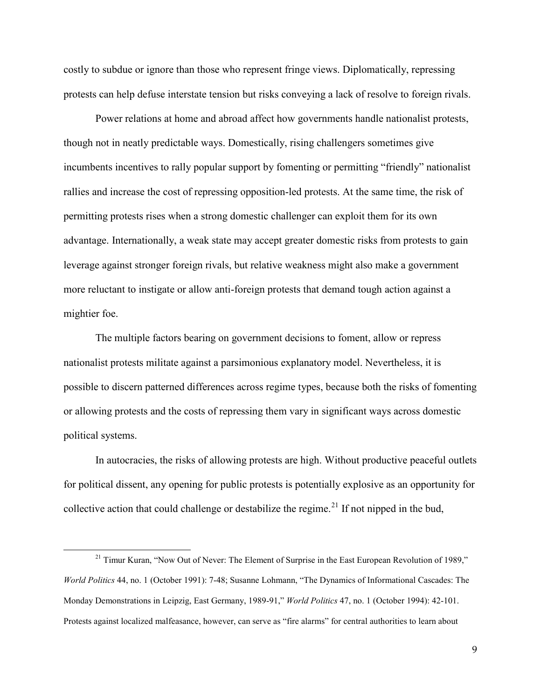costly to subdue or ignore than those who represent fringe views. Diplomatically, repressing protests can help defuse interstate tension but risks conveying a lack of resolve to foreign rivals.

Power relations at home and abroad affect how governments handle nationalist protests, though not in neatly predictable ways. Domestically, rising challengers sometimes give incumbents incentives to rally popular support by fomenting or permitting "friendly" nationalist rallies and increase the cost of repressing opposition-led protests. At the same time, the risk of permitting protests rises when a strong domestic challenger can exploit them for its own advantage. Internationally, a weak state may accept greater domestic risks from protests to gain leverage against stronger foreign rivals, but relative weakness might also make a government more reluctant to instigate or allow anti-foreign protests that demand tough action against a mightier foe.

The multiple factors bearing on government decisions to foment, allow or repress nationalist protests militate against a parsimonious explanatory model. Nevertheless, it is possible to discern patterned differences across regime types, because both the risks of fomenting or allowing protests and the costs of repressing them vary in significant ways across domestic political systems.

In autocracies, the risks of allowing protests are high. Without productive peaceful outlets for political dissent, any opening for public protests is potentially explosive as an opportunity for collective action that could challenge or destabilize the regime.<sup>[21](#page-8-0)</sup> If not nipped in the bud,

<span id="page-8-0"></span> $21$  Timur Kuran, "Now Out of Never: The Element of Surprise in the East European Revolution of 1989," *World Politics* 44, no. 1 (October 1991): 7-48; Susanne Lohmann, "The Dynamics of Informational Cascades: The Monday Demonstrations in Leipzig, East Germany, 1989-91," *World Politics* 47, no. 1 (October 1994): 42-101. Protests against localized malfeasance, however, can serve as "fire alarms" for central authorities to learn about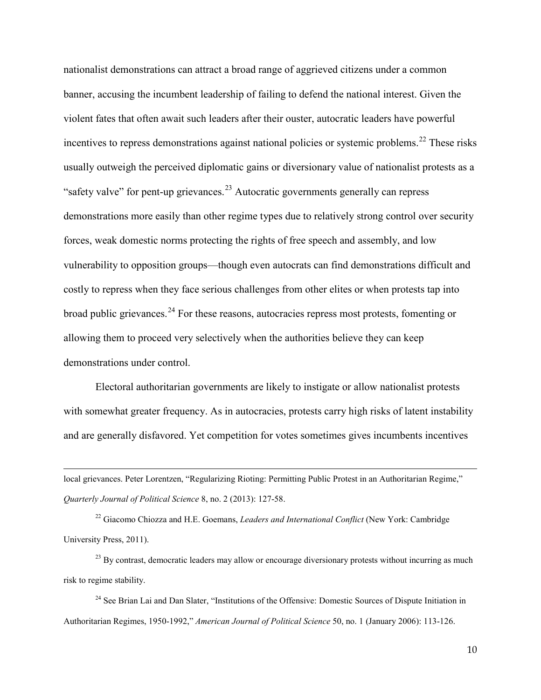nationalist demonstrations can attract a broad range of aggrieved citizens under a common banner, accusing the incumbent leadership of failing to defend the national interest. Given the violent fates that often await such leaders after their ouster, autocratic leaders have powerful incentives to repress demonstrations against national policies or systemic problems.<sup>[22](#page-9-0)</sup> These risks usually outweigh the perceived diplomatic gains or diversionary value of nationalist protests as a "safety valve" for pent-up grievances.<sup>[23](#page-9-1)</sup> Autocratic governments generally can repress demonstrations more easily than other regime types due to relatively strong control over security forces, weak domestic norms protecting the rights of free speech and assembly, and low vulnerability to opposition groups—though even autocrats can find demonstrations difficult and costly to repress when they face serious challenges from other elites or when protests tap into broad public grievances.<sup>[24](#page-9-2)</sup> For these reasons, autocracies repress most protests, fomenting or allowing them to proceed very selectively when the authorities believe they can keep demonstrations under control.

Electoral authoritarian governments are likely to instigate or allow nationalist protests with somewhat greater frequency. As in autocracies, protests carry high risks of latent instability and are generally disfavored. Yet competition for votes sometimes gives incumbents incentives

local grievances. Peter Lorentzen, "Regularizing Rioting: Permitting Public Protest in an Authoritarian Regime," *Quarterly Journal of Political Science* 8, no. 2 (2013): 127-58.

 $\overline{a}$ 

<span id="page-9-0"></span><sup>22</sup> Giacomo Chiozza and H.E. Goemans, *Leaders and International Conflict* (New York: Cambridge University Press, 2011).

<span id="page-9-1"></span> $^{23}$  By contrast, democratic leaders may allow or encourage diversionary protests without incurring as much risk to regime stability.

<span id="page-9-2"></span><sup>24</sup> See Brian Lai and Dan Slater, "Institutions of the Offensive: Domestic Sources of Dispute Initiation in Authoritarian Regimes, 1950-1992," *American Journal of Political Science* 50, no. 1 (January 2006): 113-126.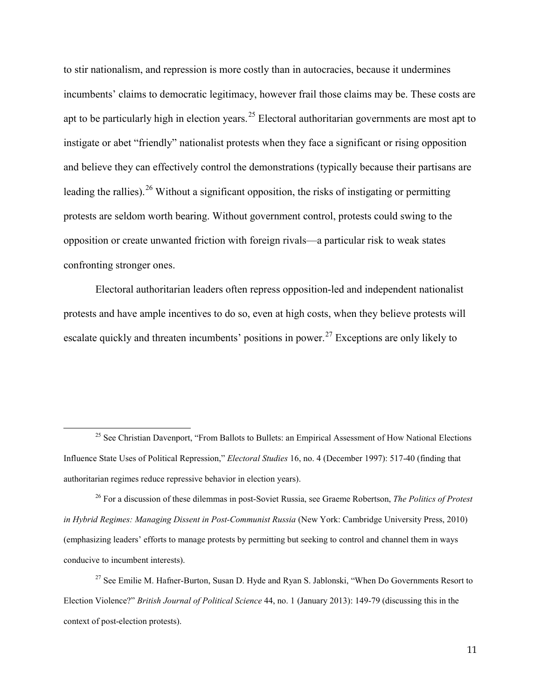to stir nationalism, and repression is more costly than in autocracies, because it undermines incumbents' claims to democratic legitimacy, however frail those claims may be. These costs are apt to be particularly high in election years.<sup>[25](#page-10-0)</sup> Electoral authoritarian governments are most apt to instigate or abet "friendly" nationalist protests when they face a significant or rising opposition and believe they can effectively control the demonstrations (typically because their partisans are leading the rallies). <sup>[26](#page-10-1)</sup> Without a significant opposition, the risks of instigating or permitting protests are seldom worth bearing. Without government control, protests could swing to the opposition or create unwanted friction with foreign rivals—a particular risk to weak states confronting stronger ones.

Electoral authoritarian leaders often repress opposition-led and independent nationalist protests and have ample incentives to do so, even at high costs, when they believe protests will escalate quickly and threaten incumbents' positions in power.<sup>[27](#page-10-2)</sup> Exceptions are only likely to

<span id="page-10-0"></span> $25$  See Christian Davenport, "From Ballots to Bullets: an Empirical Assessment of How National Elections Influence State Uses of Political Repression," *Electoral Studies* 16, no. 4 (December 1997): 517-40 (finding that authoritarian regimes reduce repressive behavior in election years).

<span id="page-10-1"></span><sup>26</sup> For a discussion of these dilemmas in post-Soviet Russia, see Graeme Robertson, *The Politics of Protest in Hybrid Regimes: Managing Dissent in Post-Communist Russia (New York: Cambridge University Press, 2010)* (emphasizing leaders' efforts to manage protests by permitting but seeking to control and channel them in ways conducive to incumbent interests).

<span id="page-10-2"></span><sup>&</sup>lt;sup>27</sup> See Emilie M. Hafner-Burton, Susan D. Hyde and Ryan S. Jablonski, "When Do Governments Resort to Election Violence?" *British Journal of Political Science* 44, no. 1 (January 2013): 149-79 (discussing this in the context of post-election protests).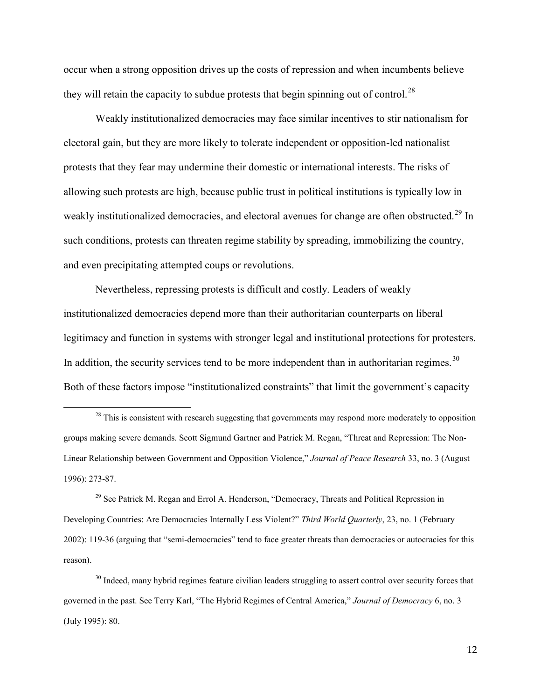occur when a strong opposition drives up the costs of repression and when incumbents believe they will retain the capacity to subdue protests that begin spinning out of control.<sup>[28](#page-11-0)</sup>

Weakly institutionalized democracies may face similar incentives to stir nationalism for electoral gain, but they are more likely to tolerate independent or opposition-led nationalist protests that they fear may undermine their domestic or international interests. The risks of allowing such protests are high, because public trust in political institutions is typically low in weakly institutionalized democracies, and electoral avenues for change are often obstructed.<sup>[29](#page-11-1)</sup> In such conditions, protests can threaten regime stability by spreading, immobilizing the country, and even precipitating attempted coups or revolutions.

Nevertheless, repressing protests is difficult and costly. Leaders of weakly institutionalized democracies depend more than their authoritarian counterparts on liberal legitimacy and function in systems with stronger legal and institutional protections for protesters. In addition, the security services tend to be more independent than in authoritarian regimes.<sup>[30](#page-11-2)</sup> Both of these factors impose "institutionalized constraints" that limit the government's capacity

 $\overline{a}$ 

<span id="page-11-1"></span> $29$  See Patrick M. Regan and Errol A. Henderson, "Democracy, Threats and Political Repression in Developing Countries: Are Democracies Internally Less Violent?" *Third World Quarterly*, 23, no. 1 (February 2002): 119-36 (arguing that "semi-democracies" tend to face greater threats than democracies or autocracies for this reason).

<span id="page-11-2"></span><sup>30</sup> Indeed, many hybrid regimes feature civilian leaders struggling to assert control over security forces that governed in the past. See Terry Karl, "The Hybrid Regimes of Central America," *Journal of Democracy* 6, no. 3 (July 1995): 80.

12

<span id="page-11-0"></span><sup>&</sup>lt;sup>28</sup> This is consistent with research suggesting that governments may respond more moderately to opposition groups making severe demands. Scott Sigmund Gartner and Patrick M. Regan, "Threat and Repression: The Non-Linear Relationship between Government and Opposition Violence," *Journal of Peace Research* 33, no. 3 (August 1996): 273-87.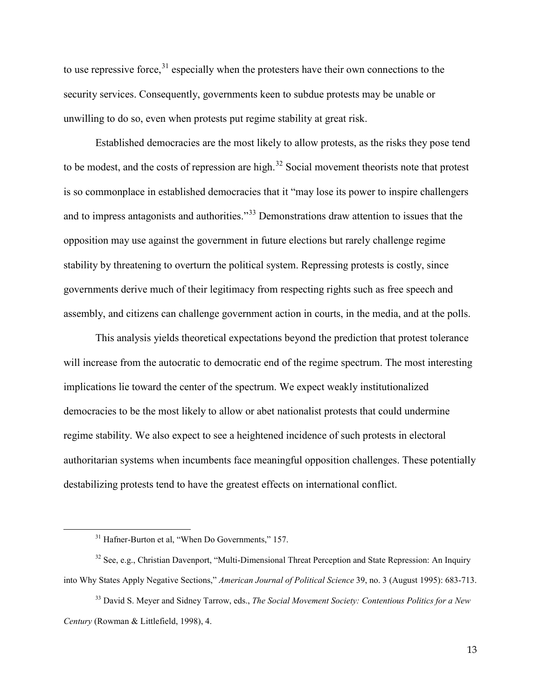to use repressive force, $31$  especially when the protesters have their own connections to the security services. Consequently, governments keen to subdue protests may be unable or unwilling to do so, even when protests put regime stability at great risk.

Established democracies are the most likely to allow protests, as the risks they pose tend to be modest, and the costs of repression are high.<sup>[32](#page-12-1)</sup> Social movement theorists note that protest is so commonplace in established democracies that it "may lose its power to inspire challengers and to impress antagonists and authorities."<sup>[33](#page-12-2)</sup> Demonstrations draw attention to issues that the opposition may use against the government in future elections but rarely challenge regime stability by threatening to overturn the political system. Repressing protests is costly, since governments derive much of their legitimacy from respecting rights such as free speech and assembly, and citizens can challenge government action in courts, in the media, and at the polls.

This analysis yields theoretical expectations beyond the prediction that protest tolerance will increase from the autocratic to democratic end of the regime spectrum. The most interesting implications lie toward the center of the spectrum. We expect weakly institutionalized democracies to be the most likely to allow or abet nationalist protests that could undermine regime stability. We also expect to see a heightened incidence of such protests in electoral authoritarian systems when incumbents face meaningful opposition challenges. These potentially destabilizing protests tend to have the greatest effects on international conflict.

<sup>&</sup>lt;sup>31</sup> Hafner-Burton et al, "When Do Governments," 157.

<span id="page-12-1"></span><span id="page-12-0"></span><sup>&</sup>lt;sup>32</sup> See, e.g., Christian Davenport, "Multi-Dimensional Threat Perception and State Repression: An Inquiry into Why States Apply Negative Sections," *American Journal of Political Science* 39, no. 3 (August 1995): 683-713.

<span id="page-12-2"></span><sup>33</sup> David S. Meyer and Sidney Tarrow, eds., *The Social Movement Society: Contentious Politics for a New Century* (Rowman & Littlefield, 1998), 4.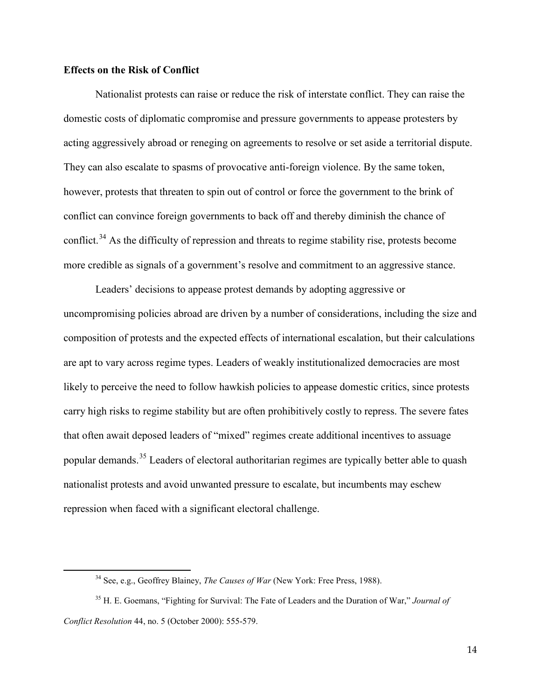#### **Effects on the Risk of Conflict**

<span id="page-13-0"></span> $\overline{a}$ 

Nationalist protests can raise or reduce the risk of interstate conflict. They can raise the domestic costs of diplomatic compromise and pressure governments to appease protesters by acting aggressively abroad or reneging on agreements to resolve or set aside a territorial dispute. They can also escalate to spasms of provocative anti-foreign violence. By the same token, however, protests that threaten to spin out of control or force the government to the brink of conflict can convince foreign governments to back off and thereby diminish the chance of conflict.<sup>[34](#page-13-0)</sup> As the difficulty of repression and threats to regime stability rise, protests become more credible as signals of a government's resolve and commitment to an aggressive stance.

Leaders' decisions to appease protest demands by adopting aggressive or uncompromising policies abroad are driven by a number of considerations, including the size and composition of protests and the expected effects of international escalation, but their calculations are apt to vary across regime types. Leaders of weakly institutionalized democracies are most likely to perceive the need to follow hawkish policies to appease domestic critics, since protests carry high risks to regime stability but are often prohibitively costly to repress. The severe fates that often await deposed leaders of "mixed" regimes create additional incentives to assuage popular demands.<sup>[35](#page-13-1)</sup> Leaders of electoral authoritarian regimes are typically better able to quash nationalist protests and avoid unwanted pressure to escalate, but incumbents may eschew repression when faced with a significant electoral challenge.

<sup>34</sup> See, e.g., Geoffrey Blainey, *The Causes of War* (New York: Free Press, 1988).

<span id="page-13-1"></span><sup>35</sup> H. E. Goemans, "Fighting for Survival: The Fate of Leaders and the Duration of War," *Journal of Conflict Resolution* 44, no. 5 (October 2000): 555-579.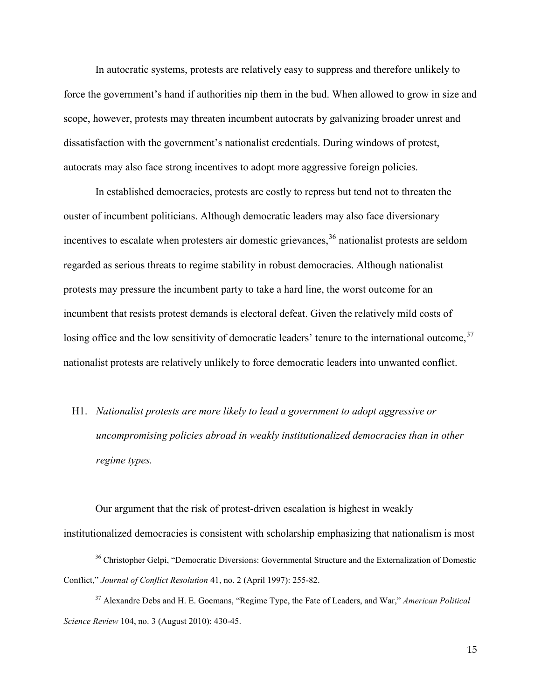In autocratic systems, protests are relatively easy to suppress and therefore unlikely to force the government's hand if authorities nip them in the bud. When allowed to grow in size and scope, however, protests may threaten incumbent autocrats by galvanizing broader unrest and dissatisfaction with the government's nationalist credentials. During windows of protest, autocrats may also face strong incentives to adopt more aggressive foreign policies.

In established democracies, protests are costly to repress but tend not to threaten the ouster of incumbent politicians. Although democratic leaders may also face diversionary incentives to escalate when protesters air domestic grievances,<sup>[36](#page-14-0)</sup> nationalist protests are seldom regarded as serious threats to regime stability in robust democracies. Although nationalist protests may pressure the incumbent party to take a hard line, the worst outcome for an incumbent that resists protest demands is electoral defeat. Given the relatively mild costs of losing office and the low sensitivity of democratic leaders' tenure to the international outcome,<sup>[37](#page-14-1)</sup> nationalist protests are relatively unlikely to force democratic leaders into unwanted conflict.

H1. *Nationalist protests are more likely to lead a government to adopt aggressive or uncompromising policies abroad in weakly institutionalized democracies than in other regime types.*

Our argument that the risk of protest-driven escalation is highest in weakly institutionalized democracies is consistent with scholarship emphasizing that nationalism is most

<span id="page-14-0"></span><sup>&</sup>lt;sup>36</sup> Christopher Gelpi, "Democratic Diversions: Governmental Structure and the Externalization of Domestic Conflict," *Journal of Conflict Resolution* 41, no. 2 (April 1997): 255-82.

<span id="page-14-1"></span><sup>37</sup> Alexandre Debs and H. E. Goemans, "Regime Type, the Fate of Leaders, and War," *American Political Science Review* 104, no. 3 (August 2010): 430-45.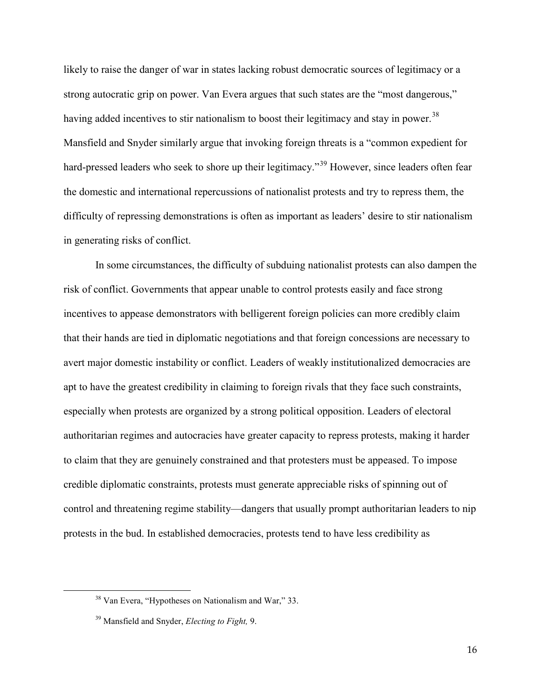likely to raise the danger of war in states lacking robust democratic sources of legitimacy or a strong autocratic grip on power. Van Evera argues that such states are the "most dangerous," having added incentives to stir nationalism to boost their legitimacy and stay in power.<sup>[38](#page-15-0)</sup> Mansfield and Snyder similarly argue that invoking foreign threats is a "common expedient for hard-pressed leaders who seek to shore up their legitimacy."<sup>[39](#page-15-1)</sup> However, since leaders often fear the domestic and international repercussions of nationalist protests and try to repress them, the difficulty of repressing demonstrations is often as important as leaders' desire to stir nationalism in generating risks of conflict.

In some circumstances, the difficulty of subduing nationalist protests can also dampen the risk of conflict. Governments that appear unable to control protests easily and face strong incentives to appease demonstrators with belligerent foreign policies can more credibly claim that their hands are tied in diplomatic negotiations and that foreign concessions are necessary to avert major domestic instability or conflict. Leaders of weakly institutionalized democracies are apt to have the greatest credibility in claiming to foreign rivals that they face such constraints, especially when protests are organized by a strong political opposition. Leaders of electoral authoritarian regimes and autocracies have greater capacity to repress protests, making it harder to claim that they are genuinely constrained and that protesters must be appeased. To impose credible diplomatic constraints, protests must generate appreciable risks of spinning out of control and threatening regime stability—dangers that usually prompt authoritarian leaders to nip protests in the bud. In established democracies, protests tend to have less credibility as

<span id="page-15-1"></span><span id="page-15-0"></span> $\overline{a}$ 

16

<sup>38</sup> Van Evera, "Hypotheses on Nationalism and War," 33.

<sup>39</sup> Mansfield and Snyder, *Electing to Fight,* 9.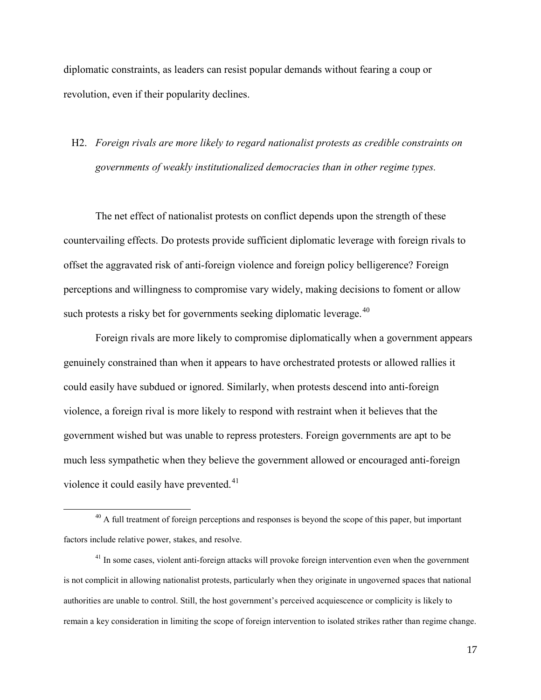diplomatic constraints, as leaders can resist popular demands without fearing a coup or revolution, even if their popularity declines.

### H2. *Foreign rivals are more likely to regard nationalist protests as credible constraints on governments of weakly institutionalized democracies than in other regime types.*

The net effect of nationalist protests on conflict depends upon the strength of these countervailing effects. Do protests provide sufficient diplomatic leverage with foreign rivals to offset the aggravated risk of anti-foreign violence and foreign policy belligerence? Foreign perceptions and willingness to compromise vary widely, making decisions to foment or allow such protests a risky bet for governments seeking diplomatic leverage.<sup>[40](#page-16-0)</sup>

Foreign rivals are more likely to compromise diplomatically when a government appears genuinely constrained than when it appears to have orchestrated protests or allowed rallies it could easily have subdued or ignored. Similarly, when protests descend into anti-foreign violence, a foreign rival is more likely to respond with restraint when it believes that the government wished but was unable to repress protesters. Foreign governments are apt to be much less sympathetic when they believe the government allowed or encouraged anti-foreign violence it could easily have prevented.<sup>41</sup>

<span id="page-16-0"></span><sup>&</sup>lt;sup>40</sup> A full treatment of foreign perceptions and responses is beyond the scope of this paper, but important factors include relative power, stakes, and resolve.

<span id="page-16-1"></span><sup>&</sup>lt;sup>41</sup> In some cases, violent anti-foreign attacks will provoke foreign intervention even when the government is not complicit in allowing nationalist protests, particularly when they originate in ungoverned spaces that national authorities are unable to control. Still, the host government's perceived acquiescence or complicity is likely to remain a key consideration in limiting the scope of foreign intervention to isolated strikes rather than regime change.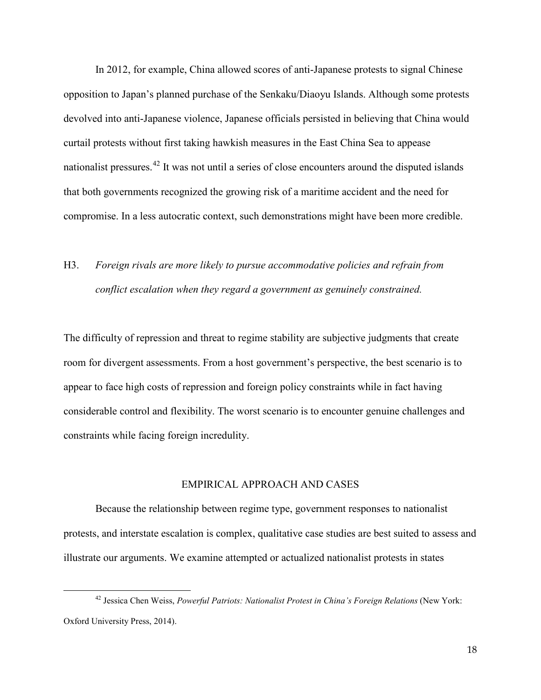In 2012, for example, China allowed scores of anti-Japanese protests to signal Chinese opposition to Japan's planned purchase of the Senkaku/Diaoyu Islands. Although some protests devolved into anti-Japanese violence, Japanese officials persisted in believing that China would curtail protests without first taking hawkish measures in the East China Sea to appease nationalist pressures.<sup>[42](#page-17-0)</sup> It was not until a series of close encounters around the disputed islands that both governments recognized the growing risk of a maritime accident and the need for compromise. In a less autocratic context, such demonstrations might have been more credible.

## H3. *Foreign rivals are more likely to pursue accommodative policies and refrain from conflict escalation when they regard a government as genuinely constrained.*

The difficulty of repression and threat to regime stability are subjective judgments that create room for divergent assessments. From a host government's perspective, the best scenario is to appear to face high costs of repression and foreign policy constraints while in fact having considerable control and flexibility. The worst scenario is to encounter genuine challenges and constraints while facing foreign incredulity.

#### EMPIRICAL APPROACH AND CASES

Because the relationship between regime type, government responses to nationalist protests, and interstate escalation is complex, qualitative case studies are best suited to assess and illustrate our arguments. We examine attempted or actualized nationalist protests in states

<span id="page-17-0"></span><sup>&</sup>lt;sup>42</sup> Jessica Chen Weiss, *Powerful Patriots: Nationalist Protest in China's Foreign Relations* (New York: Oxford University Press, 2014).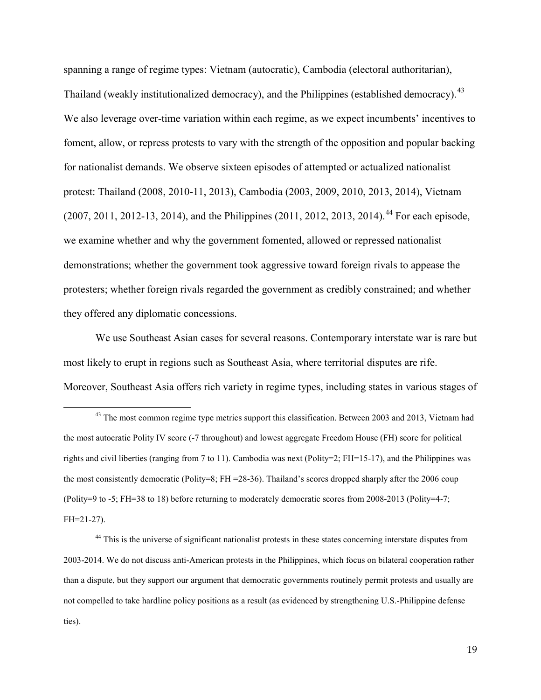spanning a range of regime types: Vietnam (autocratic), Cambodia (electoral authoritarian), Thailand (weakly institutionalized democracy), and the Philippines (established democracy).<sup>[43](#page-18-0)</sup> We also leverage over-time variation within each regime, as we expect incumbents' incentives to foment, allow, or repress protests to vary with the strength of the opposition and popular backing for nationalist demands. We observe sixteen episodes of attempted or actualized nationalist protest: Thailand (2008, 2010-11, 2013), Cambodia (2003, 2009, 2010, 2013, 2014), Vietnam  $(2007, 2011, 2012-13, 2014)$ , and the Philippines  $(2011, 2012, 2013, 2014)$ .<sup>[44](#page-18-1)</sup> For each episode, we examine whether and why the government fomented, allowed or repressed nationalist demonstrations; whether the government took aggressive toward foreign rivals to appease the protesters; whether foreign rivals regarded the government as credibly constrained; and whether they offered any diplomatic concessions.

We use Southeast Asian cases for several reasons. Contemporary interstate war is rare but most likely to erupt in regions such as Southeast Asia, where territorial disputes are rife. Moreover, Southeast Asia offers rich variety in regime types, including states in various stages of

<span id="page-18-0"></span><sup>&</sup>lt;sup>43</sup> The most common regime type metrics support this classification. Between 2003 and 2013, Vietnam had the most autocratic Polity IV score (-7 throughout) and lowest aggregate Freedom House (FH) score for political rights and civil liberties (ranging from 7 to 11). Cambodia was next (Polity=2; FH=15-17), and the Philippines was the most consistently democratic (Polity=8; FH =28-36). Thailand's scores dropped sharply after the 2006 coup (Polity=9 to -5; FH=38 to 18) before returning to moderately democratic scores from 2008-2013 (Polity=4-7; FH=21-27).

<span id="page-18-1"></span><sup>&</sup>lt;sup>44</sup> This is the universe of significant nationalist protests in these states concerning interstate disputes from 2003-2014. We do not discuss anti-American protests in the Philippines, which focus on bilateral cooperation rather than a dispute, but they support our argument that democratic governments routinely permit protests and usually are not compelled to take hardline policy positions as a result (as evidenced by strengthening U.S.-Philippine defense ties).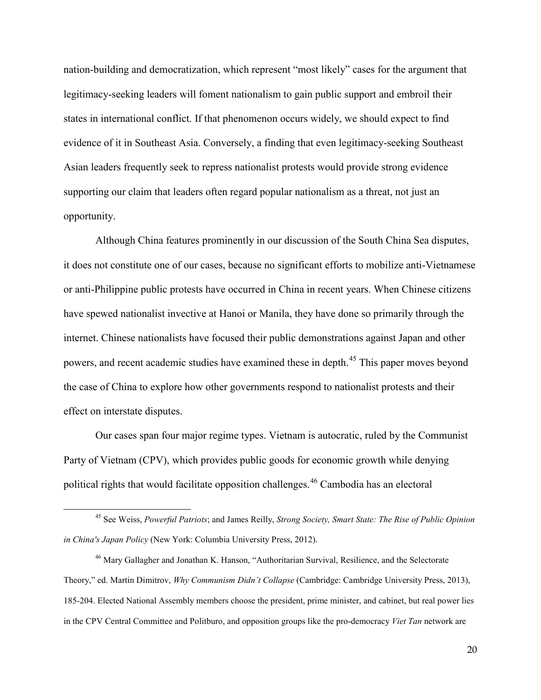nation-building and democratization, which represent "most likely" cases for the argument that legitimacy-seeking leaders will foment nationalism to gain public support and embroil their states in international conflict. If that phenomenon occurs widely, we should expect to find evidence of it in Southeast Asia. Conversely, a finding that even legitimacy-seeking Southeast Asian leaders frequently seek to repress nationalist protests would provide strong evidence supporting our claim that leaders often regard popular nationalism as a threat, not just an opportunity.

Although China features prominently in our discussion of the South China Sea disputes, it does not constitute one of our cases, because no significant efforts to mobilize anti-Vietnamese or anti-Philippine public protests have occurred in China in recent years. When Chinese citizens have spewed nationalist invective at Hanoi or Manila, they have done so primarily through the internet. Chinese nationalists have focused their public demonstrations against Japan and other powers, and recent academic studies have examined these in depth.[45](#page-19-0) This paper moves beyond the case of China to explore how other governments respond to nationalist protests and their effect on interstate disputes.

Our cases span four major regime types. Vietnam is autocratic, ruled by the Communist Party of Vietnam (CPV), which provides public goods for economic growth while denying political rights that would facilitate opposition challenges. [46](#page-19-1) Cambodia has an electoral

<span id="page-19-0"></span><sup>45</sup> See Weiss, *Powerful Patriots*; and James Reilly, *Strong Society, Smart State: The Rise of Public Opinion in China's Japan Policy* (New York: Columbia University Press, 2012).

<span id="page-19-1"></span><sup>46</sup> Mary Gallagher and Jonathan K. Hanson, "Authoritarian Survival, Resilience, and the Selectorate Theory," ed. Martin Dimitrov, *Why Communism Didn't Collapse* (Cambridge: Cambridge University Press, 2013), 185-204. Elected National Assembly members choose the president, prime minister, and cabinet, but real power lies in the CPV Central Committee and Politburo, and opposition groups like the pro-democracy *Viet Tan* network are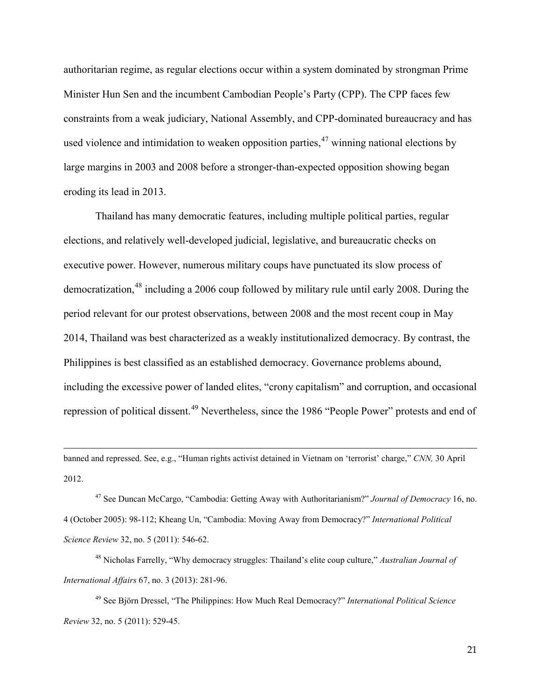authoritarian regime, as regular elections occur within a system dominated by strongman Prime Minister Hun Sen and the incumbent Cambodian People's Party (CPP). The CPP faces few constraints from a weak judiciary, National Assembly, and CPP-dominated bureaucracy and has used violence and intimidation to weaken opposition parties,  $47$  winning national elections by large margins in 2003 and 2008 before a stronger-than-expected opposition showing began eroding its lead in 2013.

Thailand has many democratic features, including multiple political parties, regular elections, and relatively well-developed judicial, legislative, and bureaucratic checks on executive power. However, numerous military coups have punctuated its slow process of democratization, [48](#page-20-1) including a 2006 coup followed by military rule until early 2008. During the period relevant for our protest observations, between 2008 and the most recent coup in May 2014, Thailand was best characterized as a weakly institutionalized democracy. By contrast, the Philippines is best classified as an established democracy. Governance problems abound, including the excessive power of landed elites, "crony capitalism" and corruption, and occasional repression of political dissent.<sup>[49](#page-20-2)</sup> Nevertheless, since the 1986 "People Power" protests and end of

banned and repressed. See, e.g., "Human rights activist detained in Vietnam on 'terrorist' charge," *CNN,* 30 April 2012.

 $\overline{a}$ 

<span id="page-20-0"></span><sup>47</sup> See Duncan McCargo, "Cambodia: Getting Away with Authoritarianism?" *Journal of Democracy* 16, no. 4 (October 2005): 98-112; Kheang Un, "Cambodia: Moving Away from Democracy?" *International Political Science Review* 32, no. 5 (2011): 546-62.

<span id="page-20-1"></span><sup>48</sup> Nicholas Farrelly, "Why democracy struggles: Thailand's elite coup culture," *Australian Journal of International Affairs* 67, no. 3 (2013): 281-96.

<span id="page-20-2"></span><sup>49</sup> See Björn Dressel, "The Philippines: How Much Real Democracy?" *International Political Science Review* 32, no. 5 (2011): 529-45.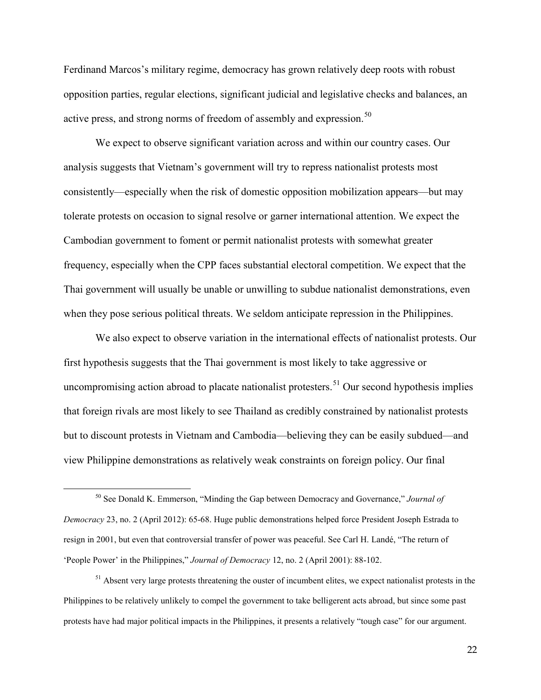Ferdinand Marcos's military regime, democracy has grown relatively deep roots with robust opposition parties, regular elections, significant judicial and legislative checks and balances, an active press, and strong norms of freedom of assembly and expression.<sup>[50](#page-21-0)</sup>

We expect to observe significant variation across and within our country cases. Our analysis suggests that Vietnam's government will try to repress nationalist protests most consistently—especially when the risk of domestic opposition mobilization appears—but may tolerate protests on occasion to signal resolve or garner international attention. We expect the Cambodian government to foment or permit nationalist protests with somewhat greater frequency, especially when the CPP faces substantial electoral competition. We expect that the Thai government will usually be unable or unwilling to subdue nationalist demonstrations, even when they pose serious political threats. We seldom anticipate repression in the Philippines.

We also expect to observe variation in the international effects of nationalist protests. Our first hypothesis suggests that the Thai government is most likely to take aggressive or uncompromising action abroad to placate nationalist protesters.<sup>[51](#page-21-1)</sup> Our second hypothesis implies that foreign rivals are most likely to see Thailand as credibly constrained by nationalist protests but to discount protests in Vietnam and Cambodia—believing they can be easily subdued—and view Philippine demonstrations as relatively weak constraints on foreign policy. Our final

 $\overline{a}$ 

<span id="page-21-1"></span><sup>51</sup> Absent very large protests threatening the ouster of incumbent elites, we expect nationalist protests in the Philippines to be relatively unlikely to compel the government to take belligerent acts abroad, but since some past protests have had major political impacts in the Philippines, it presents a relatively "tough case" for our argument.

<span id="page-21-0"></span><sup>50</sup> See Donald K. Emmerson, "Minding the Gap between Democracy and Governance," *Journal of Democracy* 23, no. 2 (April 2012): 65-68. Huge public demonstrations helped force President Joseph Estrada to resign in 2001, but even that controversial transfer of power was peaceful. See Carl H. Landé, "The return of 'People Power' in the Philippines," *Journal of Democracy* 12, no. 2 (April 2001): 88-102.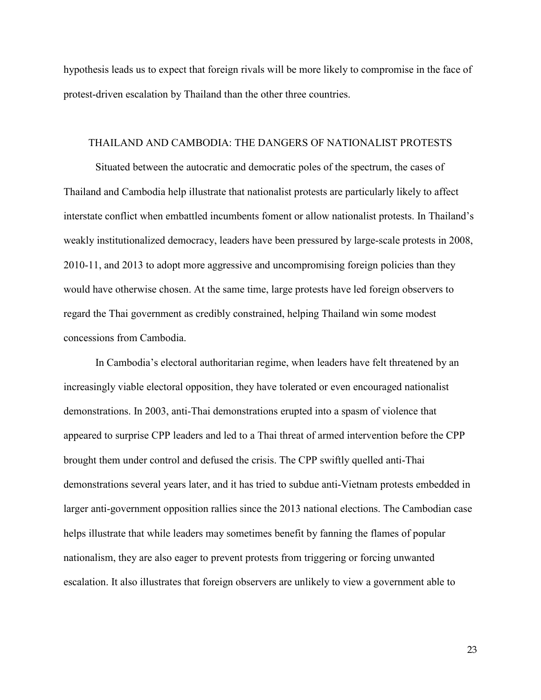hypothesis leads us to expect that foreign rivals will be more likely to compromise in the face of protest-driven escalation by Thailand than the other three countries.

#### THAILAND AND CAMBODIA: THE DANGERS OF NATIONALIST PROTESTS

Situated between the autocratic and democratic poles of the spectrum, the cases of Thailand and Cambodia help illustrate that nationalist protests are particularly likely to affect interstate conflict when embattled incumbents foment or allow nationalist protests. In Thailand's weakly institutionalized democracy, leaders have been pressured by large-scale protests in 2008, 2010-11, and 2013 to adopt more aggressive and uncompromising foreign policies than they would have otherwise chosen. At the same time, large protests have led foreign observers to regard the Thai government as credibly constrained, helping Thailand win some modest concessions from Cambodia.

In Cambodia's electoral authoritarian regime, when leaders have felt threatened by an increasingly viable electoral opposition, they have tolerated or even encouraged nationalist demonstrations. In 2003, anti-Thai demonstrations erupted into a spasm of violence that appeared to surprise CPP leaders and led to a Thai threat of armed intervention before the CPP brought them under control and defused the crisis. The CPP swiftly quelled anti-Thai demonstrations several years later, and it has tried to subdue anti-Vietnam protests embedded in larger anti-government opposition rallies since the 2013 national elections. The Cambodian case helps illustrate that while leaders may sometimes benefit by fanning the flames of popular nationalism, they are also eager to prevent protests from triggering or forcing unwanted escalation. It also illustrates that foreign observers are unlikely to view a government able to

23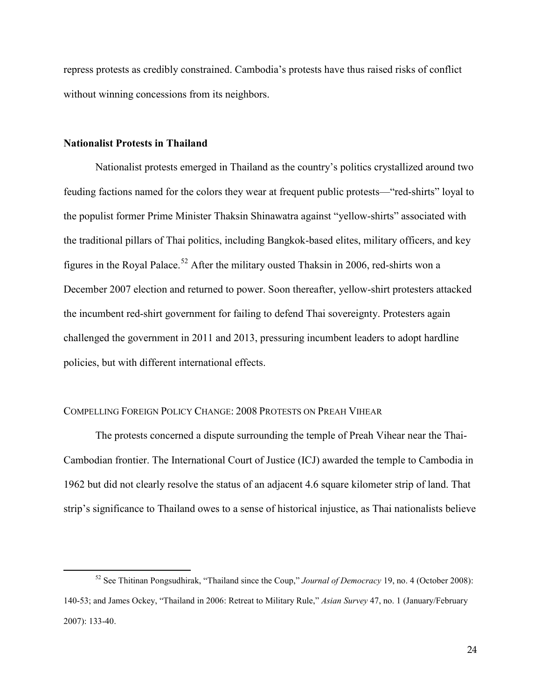repress protests as credibly constrained. Cambodia's protests have thus raised risks of conflict without winning concessions from its neighbors.

#### **Nationalist Protests in Thailand**

 $\overline{a}$ 

Nationalist protests emerged in Thailand as the country's politics crystallized around two feuding factions named for the colors they wear at frequent public protests—"red-shirts" loyal to the populist former Prime Minister Thaksin Shinawatra against "yellow-shirts" associated with the traditional pillars of Thai politics, including Bangkok-based elites, military officers, and key figures in the Royal Palace.<sup>[52](#page-23-0)</sup> After the military ousted Thaksin in 2006, red-shirts won a December 2007 election and returned to power. Soon thereafter, yellow-shirt protesters attacked the incumbent red-shirt government for failing to defend Thai sovereignty. Protesters again challenged the government in 2011 and 2013, pressuring incumbent leaders to adopt hardline policies, but with different international effects.

#### COMPELLING FOREIGN POLICY CHANGE: 2008 PROTESTS ON PREAH VIHEAR

The protests concerned a dispute surrounding the temple of Preah Vihear near the Thai-Cambodian frontier. The International Court of Justice (ICJ) awarded the temple to Cambodia in 1962 but did not clearly resolve the status of an adjacent 4.6 square kilometer strip of land. That strip's significance to Thailand owes to a sense of historical injustice, as Thai nationalists believe

<span id="page-23-0"></span><sup>52</sup> See Thitinan Pongsudhirak, "Thailand since the Coup," *Journal of Democracy* 19, no. 4 (October 2008): 140-53; and James Ockey, "Thailand in 2006: Retreat to Military Rule," *Asian Survey* 47, no. 1 (January/February 2007): 133-40.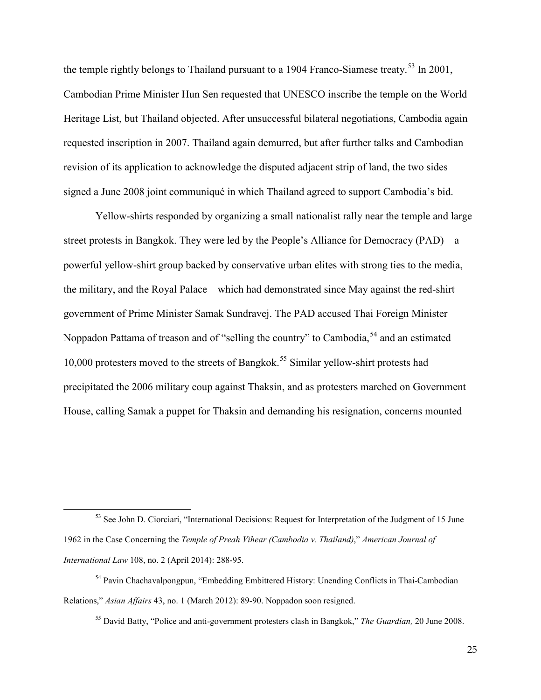the temple rightly belongs to Thailand pursuant to a 1904 Franco-Siamese treaty.<sup>[53](#page-24-0)</sup> In 2001, Cambodian Prime Minister Hun Sen requested that UNESCO inscribe the temple on the World Heritage List, but Thailand objected. After unsuccessful bilateral negotiations, Cambodia again requested inscription in 2007. Thailand again demurred, but after further talks and Cambodian revision of its application to acknowledge the disputed adjacent strip of land, the two sides signed a June 2008 joint communiqué in which Thailand agreed to support Cambodia's bid.

Yellow-shirts responded by organizing a small nationalist rally near the temple and large street protests in Bangkok. They were led by the People's Alliance for Democracy (PAD)—a powerful yellow-shirt group backed by conservative urban elites with strong ties to the media, the military, and the Royal Palace—which had demonstrated since May against the red-shirt government of Prime Minister Samak Sundravej. The PAD accused Thai Foreign Minister Noppadon Pattama of treason and of "selling the country" to Cambodia,<sup>[54](#page-24-1)</sup> and an estimated 10,000 protesters moved to the streets of Bangkok.<sup>[55](#page-24-2)</sup> Similar yellow-shirt protests had precipitated the 2006 military coup against Thaksin, and as protesters marched on Government House, calling Samak a puppet for Thaksin and demanding his resignation, concerns mounted

 $\overline{a}$ 

<sup>55</sup> David Batty, "Police and anti-government protesters clash in Bangkok," *The Guardian,* 20 June 2008.

<span id="page-24-0"></span><sup>&</sup>lt;sup>53</sup> See John D. Ciorciari, "International Decisions: Request for Interpretation of the Judgment of 15 June 1962 in the Case Concerning the *Temple of Preah Vihear (Cambodia v. Thailand)*," *American Journal of International Law* 108, no. 2 (April 2014): 288-95.

<span id="page-24-2"></span><span id="page-24-1"></span><sup>&</sup>lt;sup>54</sup> Pavin Chachavalpongpun, "Embedding Embittered History: Unending Conflicts in Thai-Cambodian Relations," *Asian Affairs* 43, no. 1 (March 2012): 89-90. Noppadon soon resigned.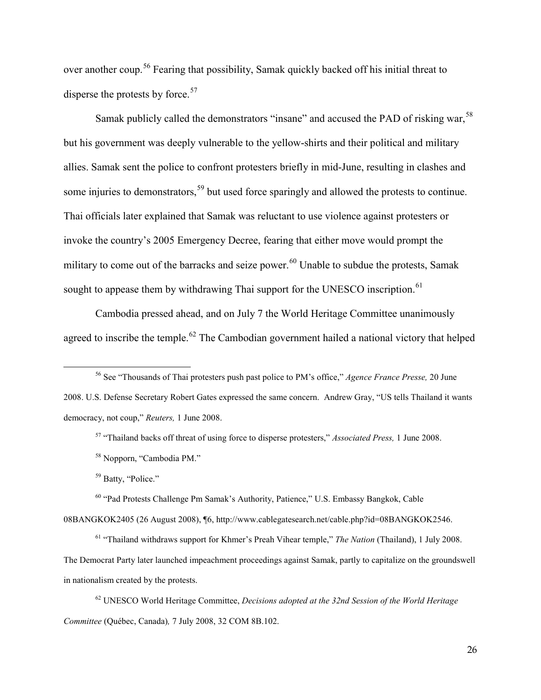over another coup.<sup>[56](#page-25-0)</sup> Fearing that possibility, Samak quickly backed off his initial threat to disperse the protests by force.  $57$ 

Samak publicly called the demonstrators "insane" and accused the PAD of risking war,<sup>[58](#page-25-2)</sup> but his government was deeply vulnerable to the yellow-shirts and their political and military allies. Samak sent the police to confront protesters briefly in mid-June, resulting in clashes and some injuries to demonstrators,<sup>[59](#page-25-3)</sup> but used force sparingly and allowed the protests to continue. Thai officials later explained that Samak was reluctant to use violence against protesters or invoke the country's 2005 Emergency Decree, fearing that either move would prompt the military to come out of the barracks and seize power.<sup>[60](#page-25-4)</sup> Unable to subdue the protests, Samak sought to appease them by withdrawing Thai support for the UNESCO inscription.<sup>[61](#page-25-5)</sup>

Cambodia pressed ahead, and on July 7 the World Heritage Committee unanimously agreed to inscribe the temple.<sup>[62](#page-25-6)</sup> The Cambodian government hailed a national victory that helped

<sup>59</sup> Batty, "Police."

<span id="page-25-0"></span> $\overline{a}$ 

<sup>60</sup> "Pad Protests Challenge Pm Samak's Authority, Patience," U.S. Embassy Bangkok, Cable

<span id="page-25-4"></span><span id="page-25-3"></span><span id="page-25-2"></span>08BANGKOK2405 (26 August 2008), ¶6, http://www.cablegatesearch.net/cable.php?id=08BANGKOK2546.

<span id="page-25-5"></span><sup>61</sup> "Thailand withdraws support for Khmer's Preah Vihear temple," *The Nation* (Thailand), 1 July 2008. The Democrat Party later launched impeachment proceedings against Samak, partly to capitalize on the groundswell in nationalism created by the protests.

<span id="page-25-6"></span><sup>62</sup> UNESCO World Heritage Committee, *Decisions adopted at the 32nd Session of the World Heritage Committee* (Québec, Canada)*,* 7 July 2008, 32 COM 8B.102.

<sup>56</sup> See "Thousands of Thai protesters push past police to PM's office," *Agence France Presse,* 20 June

<span id="page-25-1"></span><sup>2008.</sup> U.S. Defense Secretary Robert Gates expressed the same concern. Andrew Gray, "US tells Thailand it wants democracy, not coup," *Reuters,* 1 June 2008.

<sup>57</sup> "Thailand backs off threat of using force to disperse protesters," *Associated Press,* 1 June 2008.

<sup>58</sup> Nopporn, "Cambodia PM."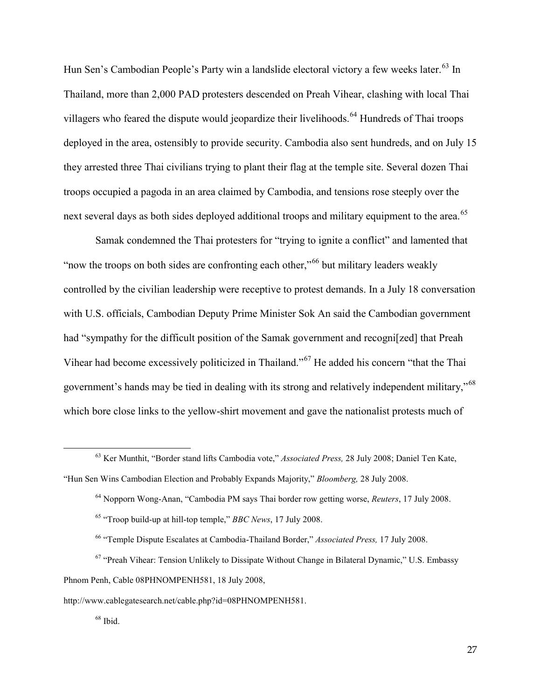Hun Sen's Cambodian People's Party win a landslide electoral victory a few weeks later.<sup>[63](#page-26-0)</sup> In Thailand, more than 2,000 PAD protesters descended on Preah Vihear, clashing with local Thai villagers who feared the dispute would jeopardize their livelihoods.<sup>[64](#page-26-1)</sup> Hundreds of Thai troops deployed in the area, ostensibly to provide security. Cambodia also sent hundreds, and on July 15 they arrested three Thai civilians trying to plant their flag at the temple site. Several dozen Thai troops occupied a pagoda in an area claimed by Cambodia, and tensions rose steeply over the next several days as both sides deployed additional troops and military equipment to the area.<sup>[65](#page-26-2)</sup>

Samak condemned the Thai protesters for "trying to ignite a conflict" and lamented that "now the troops on both sides are confronting each other,"[66](#page-26-3) but military leaders weakly controlled by the civilian leadership were receptive to protest demands. In a July 18 conversation with U.S. officials, Cambodian Deputy Prime Minister Sok An said the Cambodian government had "sympathy for the difficult position of the Samak government and recogni[zed] that Preah Vihear had become excessively politicized in Thailand."[67](#page-26-4) He added his concern "that the Thai government's hands may be tied in dealing with its strong and relatively independent military,"[68](#page-26-5) which bore close links to the yellow-shirt movement and gave the nationalist protests much of

<span id="page-26-1"></span><span id="page-26-0"></span><sup>63</sup> Ker Munthit, "Border stand lifts Cambodia vote," *Associated Press,* 28 July 2008; Daniel Ten Kate, "Hun Sen Wins Cambodian Election and Probably Expands Majority," *Bloomberg,* 28 July 2008.

<sup>64</sup> Nopporn Wong-Anan, "Cambodia PM says Thai border row getting worse, *Reuters*, 17 July 2008.

<sup>65</sup> "Troop build-up at hill-top temple," *BBC News*, 17 July 2008.

<sup>66</sup> "Temple Dispute Escalates at Cambodia-Thailand Border," *Associated Press,* 17 July 2008.

<span id="page-26-4"></span><span id="page-26-3"></span><span id="page-26-2"></span> $67$  "Preah Vihear: Tension Unlikely to Dissipate Without Change in Bilateral Dynamic," U.S. Embassy Phnom Penh, Cable 08PHNOMPENH581, 18 July 2008,

<span id="page-26-5"></span>http://www.cablegatesearch.net/cable.php?id=08PHNOMPENH581.

 $^{68}$  Ibid.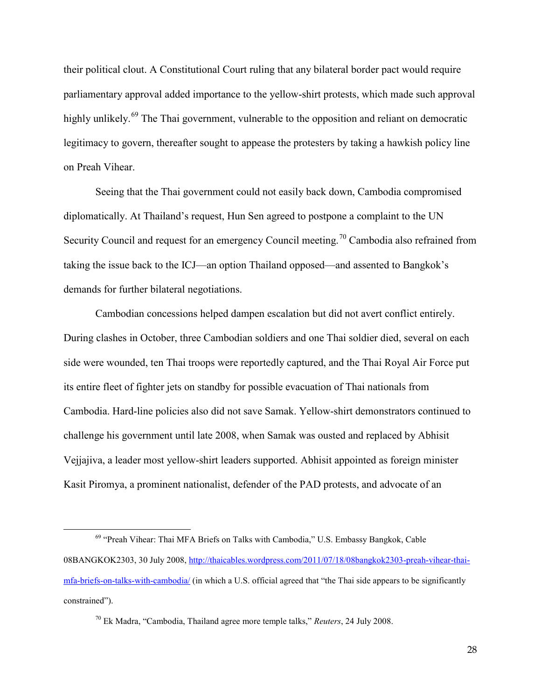their political clout. A Constitutional Court ruling that any bilateral border pact would require parliamentary approval added importance to the yellow-shirt protests, which made such approval highly unlikely.<sup>[69](#page-27-0)</sup> The Thai government, vulnerable to the opposition and reliant on democratic legitimacy to govern, thereafter sought to appease the protesters by taking a hawkish policy line on Preah Vihear.

Seeing that the Thai government could not easily back down, Cambodia compromised diplomatically. At Thailand's request, Hun Sen agreed to postpone a complaint to the UN Security Council and request for an emergency Council meeting.<sup>[70](#page-27-1)</sup> Cambodia also refrained from taking the issue back to the ICJ—an option Thailand opposed—and assented to Bangkok's demands for further bilateral negotiations.

Cambodian concessions helped dampen escalation but did not avert conflict entirely. During clashes in October, three Cambodian soldiers and one Thai soldier died, several on each side were wounded, ten Thai troops were reportedly captured, and the Thai Royal Air Force put its entire fleet of fighter jets on standby for possible evacuation of Thai nationals from Cambodia. Hard-line policies also did not save Samak. Yellow-shirt demonstrators continued to challenge his government until late 2008, when Samak was ousted and replaced by Abhisit Vejjajiva, a leader most yellow-shirt leaders supported. Abhisit appointed as foreign minister Kasit Piromya, a prominent nationalist, defender of the PAD protests, and advocate of an

<span id="page-27-0"></span><sup>&</sup>lt;sup>69</sup> "Preah Vihear: Thai MFA Briefs on Talks with Cambodia," U.S. Embassy Bangkok, Cable 08BANGKOK2303, 30 July 2008[, http://thaicables.wordpress.com/2011/07/18/08bangkok2303-preah-vihear-thai](http://thaicables.wordpress.com/2011/07/18/08bangkok2303-preah-vihear-thai-mfa-briefs-on-talks-with-cambodia/)[mfa-briefs-on-talks-with-cambodia/](http://thaicables.wordpress.com/2011/07/18/08bangkok2303-preah-vihear-thai-mfa-briefs-on-talks-with-cambodia/) (in which a U.S. official agreed that "the Thai side appears to be significantly constrained").

<span id="page-27-1"></span><sup>70</sup> Ek Madra, "Cambodia, Thailand agree more temple talks," *Reuters*, 24 July 2008.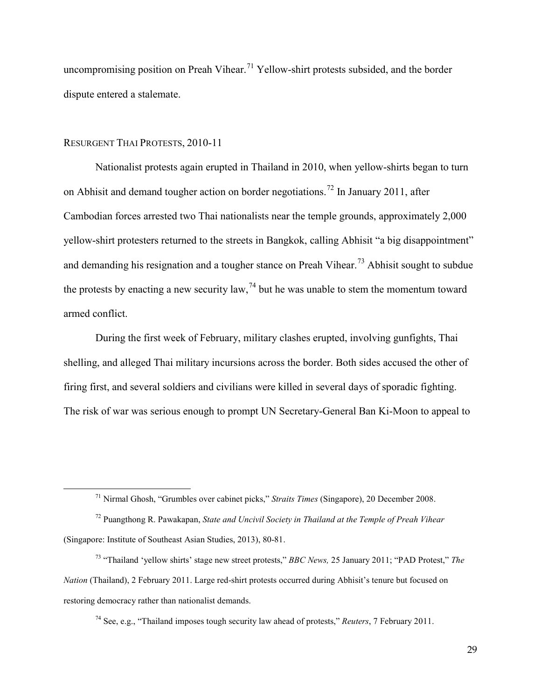uncompromising position on Preah Vihear.<sup>[71](#page-28-0)</sup> Yellow-shirt protests subsided, and the border dispute entered a stalemate.

#### RESURGENT THAI PROTESTS, 2010-11

<span id="page-28-0"></span> $\overline{a}$ 

Nationalist protests again erupted in Thailand in 2010, when yellow-shirts began to turn on Abhisit and demand tougher action on border negotiations.<sup>[72](#page-28-1)</sup> In January 2011, after Cambodian forces arrested two Thai nationalists near the temple grounds, approximately 2,000 yellow-shirt protesters returned to the streets in Bangkok, calling Abhisit "a big disappointment" and demanding his resignation and a tougher stance on Preah Vihear.<sup>[73](#page-28-2)</sup> Abhisit sought to subdue the protests by enacting a new security law,  $^{74}$  $^{74}$  $^{74}$  but he was unable to stem the momentum toward armed conflict.

During the first week of February, military clashes erupted, involving gunfights, Thai shelling, and alleged Thai military incursions across the border. Both sides accused the other of firing first, and several soldiers and civilians were killed in several days of sporadic fighting. The risk of war was serious enough to prompt UN Secretary-General Ban Ki-Moon to appeal to

<sup>74</sup> See, e.g., "Thailand imposes tough security law ahead of protests," *Reuters*, 7 February 2011.

<sup>71</sup> Nirmal Ghosh, "Grumbles over cabinet picks," *Straits Times* (Singapore), 20 December 2008.

<span id="page-28-1"></span><sup>72</sup> Puangthong R. Pawakapan, *State and Uncivil Society in Thailand at the Temple of Preah Vihear* (Singapore: Institute of Southeast Asian Studies, 2013), 80-81.

<span id="page-28-3"></span><span id="page-28-2"></span><sup>73</sup> "Thailand 'yellow shirts' stage new street protests," *BBC News,* 25 January 2011; "PAD Protest," *The Nation* (Thailand), 2 February 2011. Large red-shirt protests occurred during Abhisit's tenure but focused on restoring democracy rather than nationalist demands.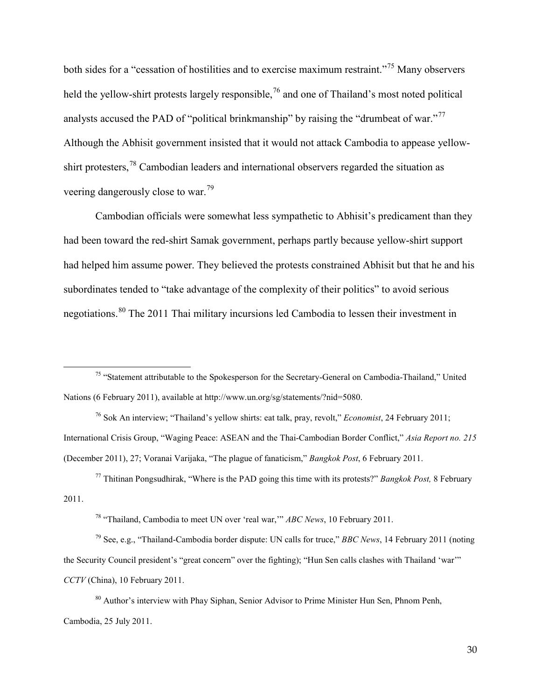both sides for a "cessation of hostilities and to exercise maximum restraint."<sup>[75](#page-29-0)</sup> Many observers held the yellow-shirt protests largely responsible,<sup>[76](#page-29-1)</sup> and one of Thailand's most noted political analysts accused the PAD of "political brinkmanship" by raising the "drumbeat of war."<sup>[77](#page-29-2)</sup> Although the Abhisit government insisted that it would not attack Cambodia to appease yellow-shirt protesters,<sup>[78](#page-29-3)</sup> Cambodian leaders and international observers regarded the situation as veering dangerously close to war.[79](#page-29-4)

Cambodian officials were somewhat less sympathetic to Abhisit's predicament than they had been toward the red-shirt Samak government, perhaps partly because yellow-shirt support had helped him assume power. They believed the protests constrained Abhisit but that he and his subordinates tended to "take advantage of the complexity of their politics" to avoid serious negotiations.[80](#page-29-5) The 2011 Thai military incursions led Cambodia to lessen their investment in

 $\overline{a}$ 

<span id="page-29-1"></span><sup>76</sup> Sok An interview; "Thailand's yellow shirts: eat talk, pray, revolt," *Economist*, 24 February 2011; International Crisis Group, "Waging Peace: ASEAN and the Thai-Cambodian Border Conflict," *Asia Report no. 215*  (December 2011), 27; Voranai Varijaka, "The plague of fanaticism," *Bangkok Post*, 6 February 2011.

<span id="page-29-2"></span><sup>77</sup> Thitinan Pongsudhirak, "Where is the PAD going this time with its protests?" *Bangkok Post,* 8 February 2011.

<sup>78</sup> "Thailand, Cambodia to meet UN over 'real war,'" *ABC News*, 10 February 2011.

<span id="page-29-4"></span><span id="page-29-3"></span><sup>79</sup> See, e.g., "Thailand-Cambodia border dispute: UN calls for truce," *BBC News*, 14 February 2011 (noting the Security Council president's "great concern" over the fighting); "Hun Sen calls clashes with Thailand 'war'" *CCTV* (China), 10 February 2011.

<span id="page-29-5"></span><sup>80</sup> Author's interview with Phay Siphan, Senior Advisor to Prime Minister Hun Sen, Phnom Penh, Cambodia, 25 July 2011.

<span id="page-29-0"></span><sup>&</sup>lt;sup>75</sup> "Statement attributable to the Spokesperson for the Secretary-General on Cambodia-Thailand," United Nations (6 February 2011), available at http://www.un.org/sg/statements/?nid=5080.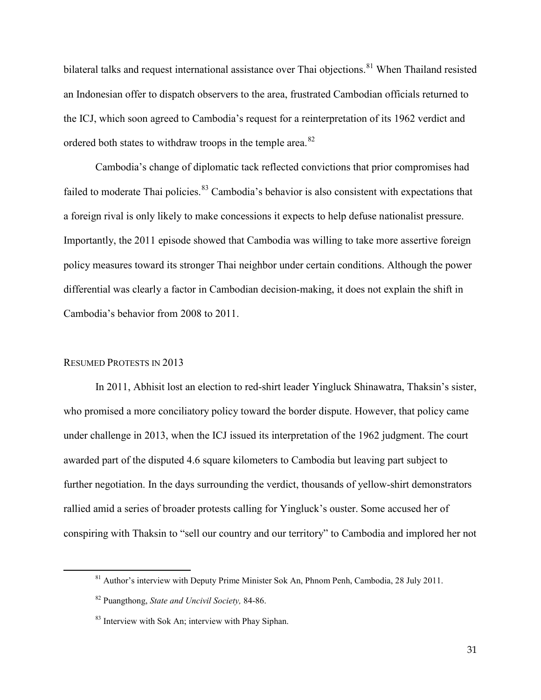bilateral talks and request international assistance over Thai objections.<sup>[81](#page-30-0)</sup> When Thailand resisted an Indonesian offer to dispatch observers to the area, frustrated Cambodian officials returned to the ICJ, which soon agreed to Cambodia's request for a reinterpretation of its 1962 verdict and ordered both states to withdraw troops in the temple area.<sup>[82](#page-30-1)</sup>

Cambodia's change of diplomatic tack reflected convictions that prior compromises had failed to moderate Thai policies.<sup>[83](#page-30-2)</sup> Cambodia's behavior is also consistent with expectations that a foreign rival is only likely to make concessions it expects to help defuse nationalist pressure. Importantly, the 2011 episode showed that Cambodia was willing to take more assertive foreign policy measures toward its stronger Thai neighbor under certain conditions. Although the power differential was clearly a factor in Cambodian decision-making, it does not explain the shift in Cambodia's behavior from 2008 to 2011.

#### RESUMED PROTESTS IN 2013

<span id="page-30-2"></span><span id="page-30-1"></span><span id="page-30-0"></span> $\overline{a}$ 

In 2011, Abhisit lost an election to red-shirt leader Yingluck Shinawatra, Thaksin's sister, who promised a more conciliatory policy toward the border dispute. However, that policy came under challenge in 2013, when the ICJ issued its interpretation of the 1962 judgment. The court awarded part of the disputed 4.6 square kilometers to Cambodia but leaving part subject to further negotiation. In the days surrounding the verdict, thousands of yellow-shirt demonstrators rallied amid a series of broader protests calling for Yingluck's ouster. Some accused her of conspiring with Thaksin to "sell our country and our territory" to Cambodia and implored her not

<sup>&</sup>lt;sup>81</sup> Author's interview with Deputy Prime Minister Sok An, Phnom Penh, Cambodia, 28 July 2011.

<sup>82</sup> Puangthong, *State and Uncivil Society,* 84-86.

<sup>&</sup>lt;sup>83</sup> Interview with Sok An; interview with Phay Siphan.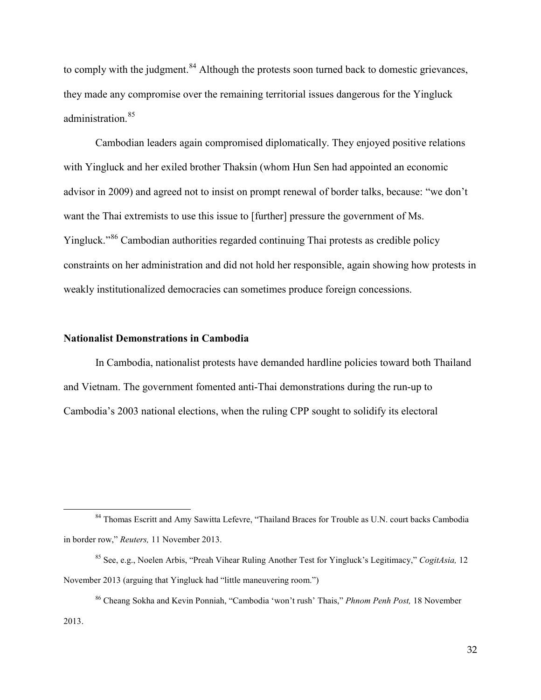to comply with the judgment.<sup>[84](#page-31-0)</sup> Although the protests soon turned back to domestic grievances, they made any compromise over the remaining territorial issues dangerous for the Yingluck administration. [85](#page-31-1)

Cambodian leaders again compromised diplomatically. They enjoyed positive relations with Yingluck and her exiled brother Thaksin (whom Hun Sen had appointed an economic advisor in 2009) and agreed not to insist on prompt renewal of border talks, because: "we don't want the Thai extremists to use this issue to [further] pressure the government of Ms. Yingluck."<sup>[86](#page-31-2)</sup> Cambodian authorities regarded continuing Thai protests as credible policy constraints on her administration and did not hold her responsible, again showing how protests in weakly institutionalized democracies can sometimes produce foreign concessions.

#### **Nationalist Demonstrations in Cambodia**

 $\overline{a}$ 

In Cambodia, nationalist protests have demanded hardline policies toward both Thailand and Vietnam. The government fomented anti-Thai demonstrations during the run-up to Cambodia's 2003 national elections, when the ruling CPP sought to solidify its electoral

<span id="page-31-0"></span><sup>&</sup>lt;sup>84</sup> Thomas Escritt and Amy Sawitta Lefevre, "Thailand Braces for Trouble as U.N. court backs Cambodia in border row," *Reuters,* 11 November 2013.

<span id="page-31-1"></span><sup>85</sup> See, e.g., Noelen Arbis, "Preah Vihear Ruling Another Test for Yingluck's Legitimacy," *CogitAsia,* 12 November 2013 (arguing that Yingluck had "little maneuvering room.")

<span id="page-31-2"></span><sup>86</sup> Cheang Sokha and Kevin Ponniah, "Cambodia 'won't rush' Thais," *Phnom Penh Post,* 18 November 2013.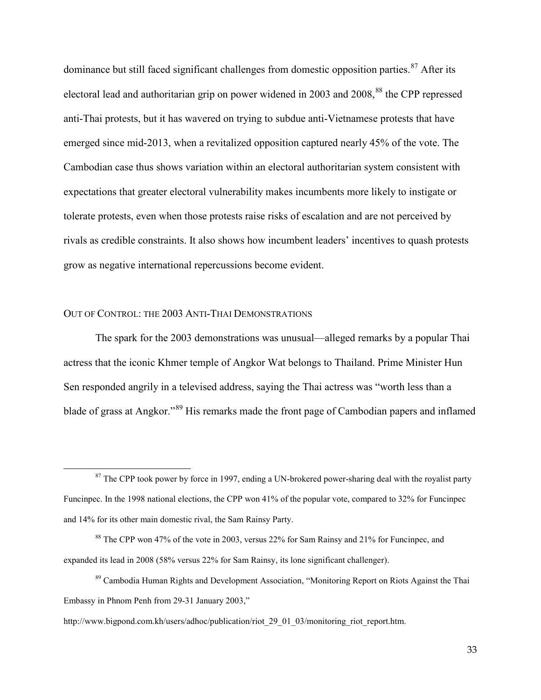dominance but still faced significant challenges from domestic opposition parties.<sup>[87](#page-32-0)</sup> After its electoral lead and authoritarian grip on power widened in 2003 and 2008,<sup>[88](#page-32-1)</sup> the CPP repressed anti-Thai protests, but it has wavered on trying to subdue anti-Vietnamese protests that have emerged since mid-2013, when a revitalized opposition captured nearly 45% of the vote. The Cambodian case thus shows variation within an electoral authoritarian system consistent with expectations that greater electoral vulnerability makes incumbents more likely to instigate or tolerate protests, even when those protests raise risks of escalation and are not perceived by rivals as credible constraints. It also shows how incumbent leaders' incentives to quash protests grow as negative international repercussions become evident.

#### OUT OF CONTROL: THE 2003 ANTI-THAI DEMONSTRATIONS

 $\overline{a}$ 

The spark for the 2003 demonstrations was unusual—alleged remarks by a popular Thai actress that the iconic Khmer temple of Angkor Wat belongs to Thailand. Prime Minister Hun Sen responded angrily in a televised address, saying the Thai actress was "worth less than a blade of grass at Angkor."[89](#page-32-2) His remarks made the front page of Cambodian papers and inflamed

<span id="page-32-0"></span> $87$  The CPP took power by force in 1997, ending a UN-brokered power-sharing deal with the royalist party Funcinpec. In the 1998 national elections, the CPP won 41% of the popular vote, compared to 32% for Funcinpec and 14% for its other main domestic rival, the Sam Rainsy Party.

<span id="page-32-1"></span><sup>88</sup> The CPP won 47% of the vote in 2003, versus 22% for Sam Rainsy and 21% for Funcinpec, and expanded its lead in 2008 (58% versus 22% for Sam Rainsy, its lone significant challenger).

<span id="page-32-2"></span><sup>&</sup>lt;sup>89</sup> Cambodia Human Rights and Development Association, "Monitoring Report on Riots Against the Thai Embassy in Phnom Penh from 29-31 January 2003,"

http://www.bigpond.com.kh/users/adhoc/publication/riot 29\_01\_03/monitoring\_riot\_report.htm.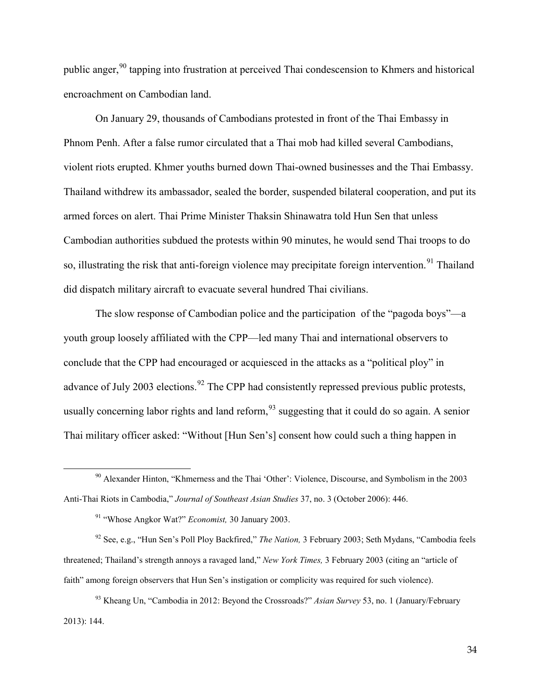public anger,<sup>[90](#page-33-0)</sup> tapping into frustration at perceived Thai condescension to Khmers and historical encroachment on Cambodian land.

On January 29, thousands of Cambodians protested in front of the Thai Embassy in Phnom Penh. After a false rumor circulated that a Thai mob had killed several Cambodians, violent riots erupted. Khmer youths burned down Thai-owned businesses and the Thai Embassy. Thailand withdrew its ambassador, sealed the border, suspended bilateral cooperation, and put its armed forces on alert. Thai Prime Minister Thaksin Shinawatra told Hun Sen that unless Cambodian authorities subdued the protests within 90 minutes, he would send Thai troops to do so, illustrating the risk that anti-foreign violence may precipitate foreign intervention.<sup>[91](#page-33-1)</sup> Thailand did dispatch military aircraft to evacuate several hundred Thai civilians.

The slow response of Cambodian police and the participation of the "pagoda boys"—a youth group loosely affiliated with the CPP—led many Thai and international observers to conclude that the CPP had encouraged or acquiesced in the attacks as a "political ploy" in advance of July 2003 elections.<sup>[92](#page-33-2)</sup> The CPP had consistently repressed previous public protests, usually concerning labor rights and land reform,  $93$  suggesting that it could do so again. A senior Thai military officer asked: "Without [Hun Sen's] consent how could such a thing happen in

 $\overline{a}$ 

<span id="page-33-2"></span><span id="page-33-1"></span><sup>92</sup> See, e.g., "Hun Sen's Poll Ploy Backfired," *The Nation,* 3 February 2003; Seth Mydans, "Cambodia feels threatened; Thailand's strength annoys a ravaged land," *New York Times,* 3 February 2003 (citing an "article of faith" among foreign observers that Hun Sen's instigation or complicity was required for such violence).

<span id="page-33-0"></span> $90$  Alexander Hinton, "Khmerness and the Thai 'Other': Violence, Discourse, and Symbolism in the 2003 Anti-Thai Riots in Cambodia," *Journal of Southeast Asian Studies* 37, no. 3 (October 2006): 446.

<sup>91</sup> "Whose Angkor Wat?" *Economist,* 30 January 2003.

<span id="page-33-3"></span><sup>93</sup> Kheang Un, "Cambodia in 2012: Beyond the Crossroads?" *Asian Survey* 53, no. 1 (January/February 2013): 144.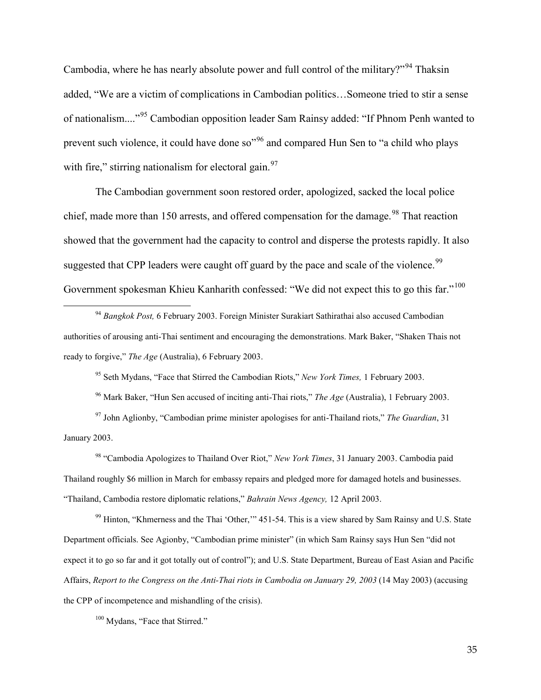Cambodia, where he has nearly absolute power and full control of the military?"<sup>[94](#page-34-0)</sup> Thaksin added, "We are a victim of complications in Cambodian politics…Someone tried to stir a sense of nationalism...."[95](#page-34-1) Cambodian opposition leader Sam Rainsy added: "If Phnom Penh wanted to prevent such violence, it could have done so"[96](#page-34-2) and compared Hun Sen to "a child who plays with fire," stirring nationalism for electoral gain.  $97$ 

The Cambodian government soon restored order, apologized, sacked the local police chief, made more than 150 arrests, and offered compensation for the damage.<sup>[98](#page-34-4)</sup> That reaction showed that the government had the capacity to control and disperse the protests rapidly. It also suggested that CPP leaders were caught off guard by the pace and scale of the violence.<sup>[99](#page-34-5)</sup> Government spokesman Khieu Kanharith confessed: "We did not expect this to go this far."<sup>[100](#page-34-6)</sup>

<span id="page-34-0"></span><sup>94</sup> *Bangkok Post,* 6 February 2003. Foreign Minister Surakiart Sathirathai also accused Cambodian authorities of arousing anti-Thai sentiment and encouraging the demonstrations. Mark Baker, "Shaken Thais not ready to forgive," *The Age* (Australia), 6 February 2003.

<sup>95</sup> Seth Mydans, "Face that Stirred the Cambodian Riots," *New York Times,* 1 February 2003.

<sup>96</sup> Mark Baker, "Hun Sen accused of inciting anti-Thai riots," *The Age* (Australia), 1 February 2003.

<span id="page-34-3"></span><span id="page-34-2"></span><span id="page-34-1"></span><sup>97</sup> John Aglionby, "Cambodian prime minister apologises for anti-Thailand riots," *The Guardian*, 31 January 2003.

<span id="page-34-4"></span><sup>98</sup> "Cambodia Apologizes to Thailand Over Riot," *New York Times*, 31 January 2003. Cambodia paid Thailand roughly \$6 million in March for embassy repairs and pledged more for damaged hotels and businesses. "Thailand, Cambodia restore diplomatic relations," *Bahrain News Agency,* 12 April 2003.

<span id="page-34-5"></span><sup>99</sup> Hinton, "Khmerness and the Thai 'Other," 451-54. This is a view shared by Sam Rainsy and U.S. State Department officials. See Agionby, "Cambodian prime minister" (in which Sam Rainsy says Hun Sen "did not expect it to go so far and it got totally out of control"); and U.S. State Department, Bureau of East Asian and Pacific Affairs, *Report to the Congress on the Anti-Thai riots in Cambodia on January 29, 2003* (14 May 2003) (accusing the CPP of incompetence and mishandling of the crisis).

<span id="page-34-6"></span><sup>100</sup> Mydans, "Face that Stirred."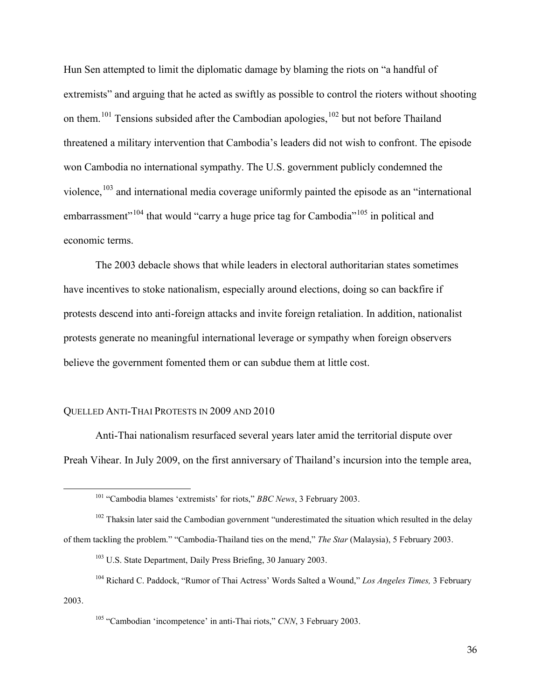Hun Sen attempted to limit the diplomatic damage by blaming the riots on "a handful of extremists" and arguing that he acted as swiftly as possible to control the rioters without shooting on them.<sup>[101](#page-35-0)</sup> Tensions subsided after the Cambodian apologies,<sup>[102](#page-35-1)</sup> but not before Thailand threatened a military intervention that Cambodia's leaders did not wish to confront. The episode won Cambodia no international sympathy. The U.S. government publicly condemned the violence,<sup>[103](#page-35-2)</sup> and international media coverage uniformly painted the episode as an "international" embarrassment<sup> $104$ </sup> that would "carry a huge price tag for Cambodia"<sup>[105](#page-35-4)</sup> in political and economic terms.

The 2003 debacle shows that while leaders in electoral authoritarian states sometimes have incentives to stoke nationalism, especially around elections, doing so can backfire if protests descend into anti-foreign attacks and invite foreign retaliation. In addition, nationalist protests generate no meaningful international leverage or sympathy when foreign observers believe the government fomented them or can subdue them at little cost.

#### QUELLED ANTI-THAI PROTESTS IN 2009 AND 2010

<span id="page-35-0"></span> $\overline{a}$ 

Anti-Thai nationalism resurfaced several years later amid the territorial dispute over Preah Vihear. In July 2009, on the first anniversary of Thailand's incursion into the temple area,

<span id="page-35-1"></span> $102$  Thaksin later said the Cambodian government "underestimated the situation which resulted in the delay of them tackling the problem." "Cambodia-Thailand ties on the mend," *The Star* (Malaysia), 5 February 2003.

<sup>101</sup> "Cambodia blames 'extremists' for riots," *BBC News*, 3 February 2003.

<sup>103</sup> U.S. State Department, Daily Press Briefing, 30 January 2003.

<span id="page-35-4"></span><span id="page-35-3"></span><span id="page-35-2"></span><sup>104</sup> Richard C. Paddock, "Rumor of Thai Actress' Words Salted a Wound," *Los Angeles Times,* 3 February 2003.

<sup>105</sup> "Cambodian 'incompetence' in anti-Thai riots," *CNN*, 3 February 2003.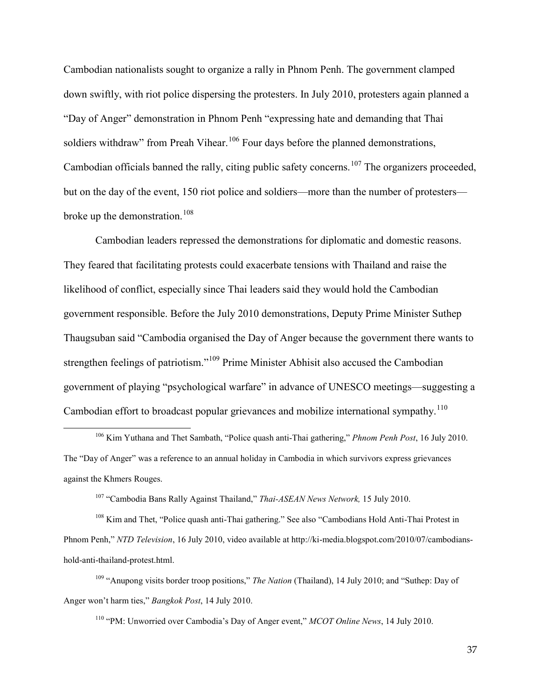Cambodian nationalists sought to organize a rally in Phnom Penh. The government clamped down swiftly, with riot police dispersing the protesters. In July 2010, protesters again planned a "Day of Anger" demonstration in Phnom Penh "expressing hate and demanding that Thai soldiers withdraw" from Preah Vihear.<sup>[106](#page-36-0)</sup> Four days before the planned demonstrations, Cambodian officials banned the rally, citing public safety concerns.<sup>[107](#page-36-1)</sup> The organizers proceeded, but on the day of the event, 150 riot police and soldiers—more than the number of protesters— broke up the demonstration.<sup>[108](#page-36-2)</sup>

Cambodian leaders repressed the demonstrations for diplomatic and domestic reasons. They feared that facilitating protests could exacerbate tensions with Thailand and raise the likelihood of conflict, especially since Thai leaders said they would hold the Cambodian government responsible. Before the July 2010 demonstrations, Deputy Prime Minister Suthep Thaugsuban said "Cambodia organised the Day of Anger because the government there wants to strengthen feelings of patriotism."<sup>[109](#page-36-3)</sup> Prime Minister Abhisit also accused the Cambodian government of playing "psychological warfare" in advance of UNESCO meetings—suggesting a Cambodian effort to broadcast popular grievances and mobilize international sympathy.<sup>[110](#page-36-4)</sup>

 $\overline{a}$ 

<span id="page-36-2"></span><span id="page-36-1"></span><sup>108</sup> Kim and Thet, "Police quash anti-Thai gathering." See also "Cambodians Hold Anti-Thai Protest in Phnom Penh," *NTD Television*, 16 July 2010, video available at http://ki-media.blogspot.com/2010/07/cambodianshold-anti-thailand-protest.html.

<span id="page-36-4"></span><span id="page-36-3"></span><sup>109</sup> "Anupong visits border troop positions," *The Nation* (Thailand), 14 July 2010; and "Suthep: Day of Anger won't harm ties," *Bangkok Post*, 14 July 2010.

<sup>110</sup> "PM: Unworried over Cambodia's Day of Anger event," *MCOT Online News*, 14 July 2010.

37

<span id="page-36-0"></span><sup>106</sup> Kim Yuthana and Thet Sambath, "Police quash anti-Thai gathering," *Phnom Penh Post*, 16 July 2010. The "Day of Anger" was a reference to an annual holiday in Cambodia in which survivors express grievances against the Khmers Rouges.

<sup>107</sup> "Cambodia Bans Rally Against Thailand," *Thai-ASEAN News Network,* 15 July 2010.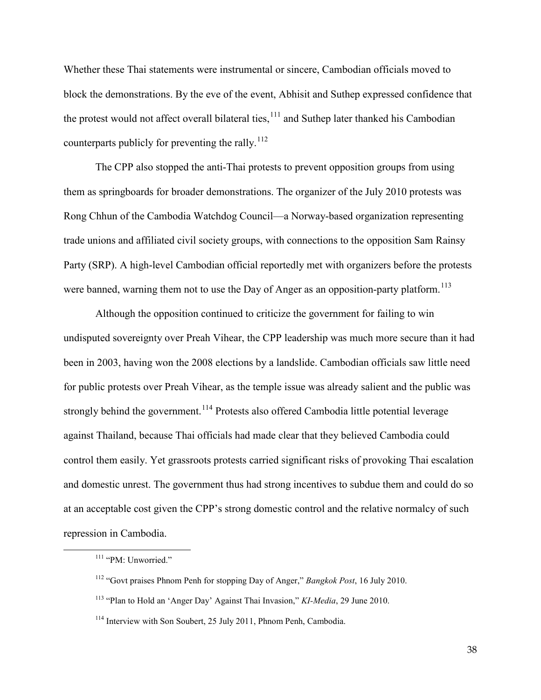Whether these Thai statements were instrumental or sincere, Cambodian officials moved to block the demonstrations. By the eve of the event, Abhisit and Suthep expressed confidence that the protest would not affect overall bilateral ties, <sup>[111](#page-37-0)</sup> and Suthep later thanked his Cambodian counterparts publicly for preventing the rally.<sup>[112](#page-37-1)</sup>

The CPP also stopped the anti-Thai protests to prevent opposition groups from using them as springboards for broader demonstrations. The organizer of the July 2010 protests was Rong Chhun of the Cambodia Watchdog Council—a Norway-based organization representing trade unions and affiliated civil society groups, with connections to the opposition Sam Rainsy Party (SRP). A high-level Cambodian official reportedly met with organizers before the protests were banned, warning them not to use the Day of Anger as an opposition-party platform.<sup>[113](#page-37-2)</sup>

Although the opposition continued to criticize the government for failing to win undisputed sovereignty over Preah Vihear, the CPP leadership was much more secure than it had been in 2003, having won the 2008 elections by a landslide. Cambodian officials saw little need for public protests over Preah Vihear, as the temple issue was already salient and the public was strongly behind the government.<sup>[114](#page-37-3)</sup> Protests also offered Cambodia little potential leverage against Thailand, because Thai officials had made clear that they believed Cambodia could control them easily. Yet grassroots protests carried significant risks of provoking Thai escalation and domestic unrest. The government thus had strong incentives to subdue them and could do so at an acceptable cost given the CPP's strong domestic control and the relative normalcy of such repression in Cambodia.

<span id="page-37-0"></span><sup>&</sup>lt;sup>111</sup> "PM: Unworried."

<span id="page-37-1"></span><sup>112</sup> "Govt praises Phnom Penh for stopping Day of Anger," *Bangkok Post*, 16 July 2010.

<span id="page-37-2"></span><sup>113</sup> "Plan to Hold an 'Anger Day' Against Thai Invasion," *KI-Media*, 29 June 2010.

<span id="page-37-3"></span><sup>&</sup>lt;sup>114</sup> Interview with Son Soubert, 25 July 2011, Phnom Penh, Cambodia.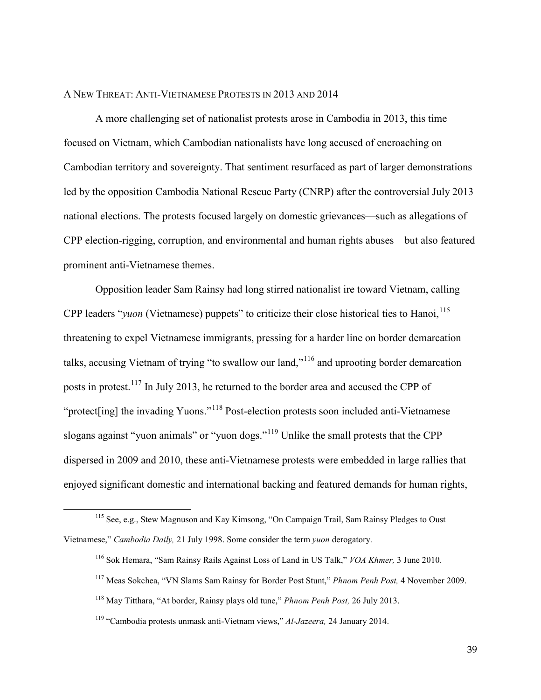#### A NEW THREAT: ANTI-VIETNAMESE PROTESTS IN 2013 AND 2014

A more challenging set of nationalist protests arose in Cambodia in 2013, this time focused on Vietnam, which Cambodian nationalists have long accused of encroaching on Cambodian territory and sovereignty. That sentiment resurfaced as part of larger demonstrations led by the opposition Cambodia National Rescue Party (CNRP) after the controversial July 2013 national elections. The protests focused largely on domestic grievances—such as allegations of CPP election-rigging, corruption, and environmental and human rights abuses—but also featured prominent anti-Vietnamese themes.

Opposition leader Sam Rainsy had long stirred nationalist ire toward Vietnam, calling CPP leaders "*yuon* (Vietnamese) puppets" to criticize their close historical ties to Hanoi, <sup>[115](#page-38-0)</sup> threatening to expel Vietnamese immigrants, pressing for a harder line on border demarcation talks, accusing Vietnam of trying "to swallow our land,"[116](#page-38-1) and uprooting border demarcation posts in protest.[117](#page-38-2) In July 2013, he returned to the border area and accused the CPP of "protect[ing] the invading Yuons."[118](#page-38-3) Post-election protests soon included anti-Vietnamese slogans against "yuon animals" or "yuon dogs."<sup>[119](#page-38-4)</sup> Unlike the small protests that the CPP dispersed in 2009 and 2010, these anti-Vietnamese protests were embedded in large rallies that enjoyed significant domestic and international backing and featured demands for human rights,

<span id="page-38-2"></span><span id="page-38-1"></span><span id="page-38-0"></span><sup>115</sup> See, e.g., Stew Magnuson and Kay Kimsong, "On Campaign Trail, Sam Rainsy Pledges to Oust Vietnamese," *Cambodia Daily,* 21 July 1998. Some consider the term *yuon* derogatory.

<sup>116</sup> Sok Hemara, "Sam Rainsy Rails Against Loss of Land in US Talk," *VOA Khmer,* 3 June 2010.

<sup>117</sup> Meas Sokchea, "VN Slams Sam Rainsy for Border Post Stunt," *Phnom Penh Post,* 4 November 2009.

<span id="page-38-3"></span><sup>118</sup> May Titthara, "At border, Rainsy plays old tune," *Phnom Penh Post,* 26 July 2013.

<span id="page-38-4"></span><sup>119</sup> "Cambodia protests unmask anti-Vietnam views," *Al-Jazeera,* 24 January 2014.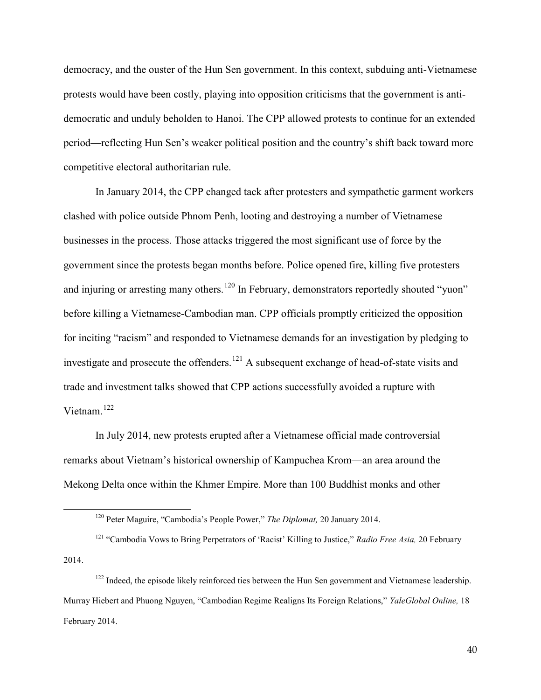democracy, and the ouster of the Hun Sen government. In this context, subduing anti-Vietnamese protests would have been costly, playing into opposition criticisms that the government is antidemocratic and unduly beholden to Hanoi. The CPP allowed protests to continue for an extended period—reflecting Hun Sen's weaker political position and the country's shift back toward more competitive electoral authoritarian rule.

In January 2014, the CPP changed tack after protesters and sympathetic garment workers clashed with police outside Phnom Penh, looting and destroying a number of Vietnamese businesses in the process. Those attacks triggered the most significant use of force by the government since the protests began months before. Police opened fire, killing five protesters and injuring or arresting many others.<sup>[120](#page-39-0)</sup> In February, demonstrators reportedly shouted "yuon" before killing a Vietnamese-Cambodian man. CPP officials promptly criticized the opposition for inciting "racism" and responded to Vietnamese demands for an investigation by pledging to investigate and prosecute the offenders.<sup>[121](#page-39-1)</sup> A subsequent exchange of head-of-state visits and trade and investment talks showed that CPP actions successfully avoided a rupture with Vietnam. [122](#page-39-2)

In July 2014, new protests erupted after a Vietnamese official made controversial remarks about Vietnam's historical ownership of Kampuchea Krom—an area around the Mekong Delta once within the Khmer Empire. More than 100 Buddhist monks and other

<sup>120</sup> Peter Maguire, "Cambodia's People Power," *The Diplomat,* 20 January 2014.

<span id="page-39-1"></span><span id="page-39-0"></span><sup>121</sup> "Cambodia Vows to Bring Perpetrators of 'Racist' Killing to Justice," *Radio Free Asia,* 20 February 2014.

<span id="page-39-2"></span> $122$  Indeed, the episode likely reinforced ties between the Hun Sen government and Vietnamese leadership. Murray Hiebert and Phuong Nguyen, "Cambodian Regime Realigns Its Foreign Relations," *YaleGlobal Online,* 18 February 2014.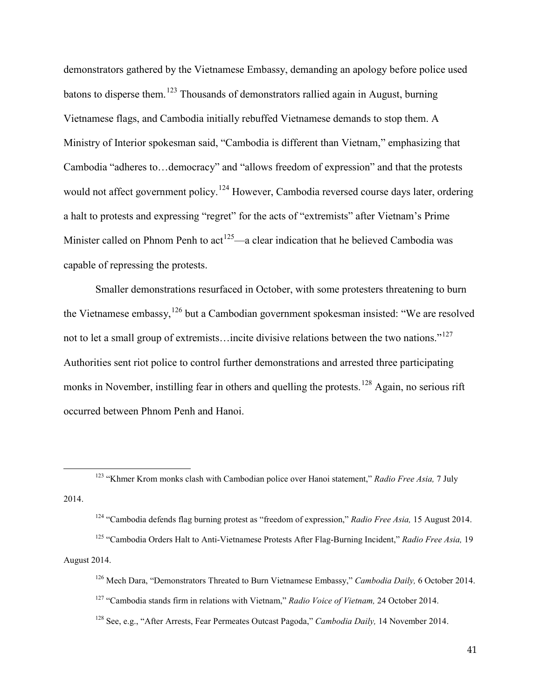demonstrators gathered by the Vietnamese Embassy, demanding an apology before police used batons to disperse them.<sup>[123](#page-40-0)</sup> Thousands of demonstrators rallied again in August, burning Vietnamese flags, and Cambodia initially rebuffed Vietnamese demands to stop them. A Ministry of Interior spokesman said, "Cambodia is different than Vietnam," emphasizing that Cambodia "adheres to…democracy" and "allows freedom of expression" and that the protests would not affect government policy.<sup>[124](#page-40-1)</sup> However, Cambodia reversed course days later, ordering a halt to protests and expressing "regret" for the acts of "extremists" after Vietnam's Prime Minister called on Phnom Penh to  $act^{125}$  $act^{125}$  $act^{125}$ —a clear indication that he believed Cambodia was capable of repressing the protests.

Smaller demonstrations resurfaced in October, with some protesters threatening to burn the Vietnamese embassy, <sup>[126](#page-40-3)</sup> but a Cambodian government spokesman insisted: "We are resolved not to let a small group of extremists...incite divisive relations between the two nations."<sup>[127](#page-40-4)</sup> Authorities sent riot police to control further demonstrations and arrested three participating monks in November, instilling fear in others and quelling the protests.<sup>[128](#page-40-5)</sup> Again, no serious rift occurred between Phnom Penh and Hanoi.

<span id="page-40-0"></span><sup>123</sup> "Khmer Krom monks clash with Cambodian police over Hanoi statement," *Radio Free Asia,* 7 July 2014.

<sup>124</sup> "Cambodia defends flag burning protest as "freedom of expression," *Radio Free Asia,* 15 August 2014.

<span id="page-40-4"></span><span id="page-40-3"></span><span id="page-40-2"></span><span id="page-40-1"></span><sup>125</sup> "Cambodia Orders Halt to Anti-Vietnamese Protests After Flag-Burning Incident," *Radio Free Asia,* 19 August 2014.

<sup>126</sup> Mech Dara, "Demonstrators Threated to Burn Vietnamese Embassy," *Cambodia Daily,* 6 October 2014.

<sup>127</sup> "Cambodia stands firm in relations with Vietnam," *Radio Voice of Vietnam,* 24 October 2014.

<span id="page-40-5"></span><sup>128</sup> See, e.g., "After Arrests, Fear Permeates Outcast Pagoda," *Cambodia Daily,* 14 November 2014.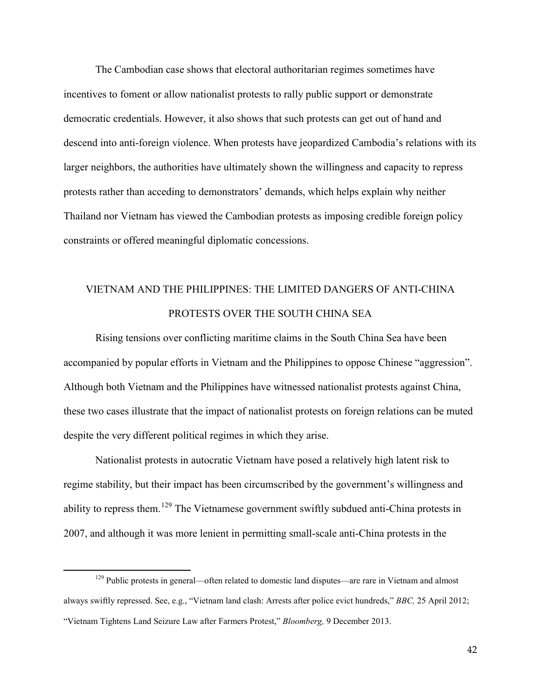The Cambodian case shows that electoral authoritarian regimes sometimes have incentives to foment or allow nationalist protests to rally public support or demonstrate democratic credentials. However, it also shows that such protests can get out of hand and descend into anti-foreign violence. When protests have jeopardized Cambodia's relations with its larger neighbors, the authorities have ultimately shown the willingness and capacity to repress protests rather than acceding to demonstrators' demands, which helps explain why neither Thailand nor Vietnam has viewed the Cambodian protests as imposing credible foreign policy constraints or offered meaningful diplomatic concessions.

### VIETNAM AND THE PHILIPPINES: THE LIMITED DANGERS OF ANTI-CHINA PROTESTS OVER THE SOUTH CHINA SEA

Rising tensions over conflicting maritime claims in the South China Sea have been accompanied by popular efforts in Vietnam and the Philippines to oppose Chinese "aggression". Although both Vietnam and the Philippines have witnessed nationalist protests against China, these two cases illustrate that the impact of nationalist protests on foreign relations can be muted despite the very different political regimes in which they arise.

Nationalist protests in autocratic Vietnam have posed a relatively high latent risk to regime stability, but their impact has been circumscribed by the government's willingness and ability to repress them.<sup>[129](#page-41-0)</sup> The Vietnamese government swiftly subdued anti-China protests in 2007, and although it was more lenient in permitting small-scale anti-China protests in the

<span id="page-41-0"></span><sup>&</sup>lt;sup>129</sup> Public protests in general—often related to domestic land disputes—are rare in Vietnam and almost always swiftly repressed. See, e.g., "Vietnam land clash: Arrests after police evict hundreds," *BBC,* 25 April 2012; "Vietnam Tightens Land Seizure Law after Farmers Protest," *Bloomberg,* 9 December 2013.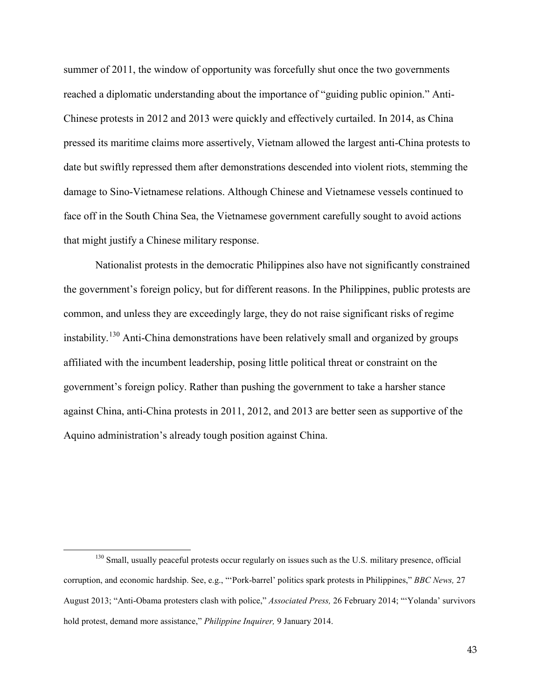summer of 2011, the window of opportunity was forcefully shut once the two governments reached a diplomatic understanding about the importance of "guiding public opinion." Anti-Chinese protests in 2012 and 2013 were quickly and effectively curtailed. In 2014, as China pressed its maritime claims more assertively, Vietnam allowed the largest anti-China protests to date but swiftly repressed them after demonstrations descended into violent riots, stemming the damage to Sino-Vietnamese relations. Although Chinese and Vietnamese vessels continued to face off in the South China Sea, the Vietnamese government carefully sought to avoid actions that might justify a Chinese military response.

Nationalist protests in the democratic Philippines also have not significantly constrained the government's foreign policy, but for different reasons. In the Philippines, public protests are common, and unless they are exceedingly large, they do not raise significant risks of regime instability.<sup>[130](#page-42-0)</sup> Anti-China demonstrations have been relatively small and organized by groups affiliated with the incumbent leadership, posing little political threat or constraint on the government's foreign policy. Rather than pushing the government to take a harsher stance against China, anti-China protests in 2011, 2012, and 2013 are better seen as supportive of the Aquino administration's already tough position against China.

<span id="page-42-0"></span><sup>&</sup>lt;sup>130</sup> Small, usually peaceful protests occur regularly on issues such as the U.S. military presence, official corruption, and economic hardship. See, e.g., "'Pork-barrel' politics spark protests in Philippines," *BBC News,* 27 August 2013; "Anti-Obama protesters clash with police," *Associated Press,* 26 February 2014; "'Yolanda' survivors hold protest, demand more assistance," *Philippine Inquirer,* 9 January 2014.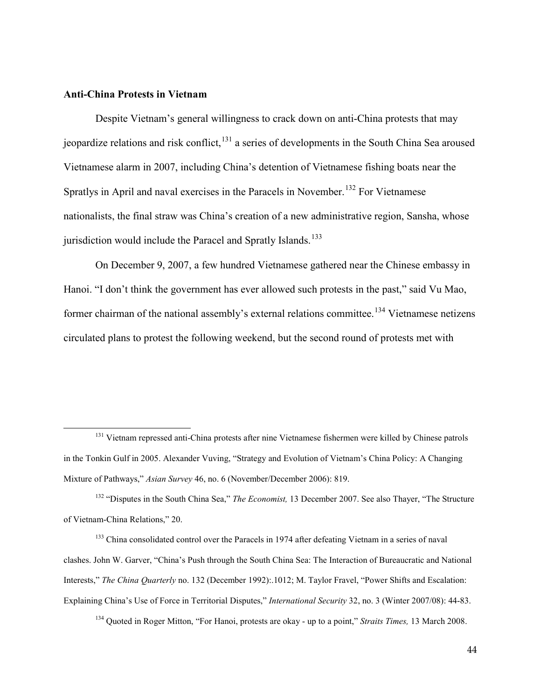#### **Anti-China Protests in Vietnam**

 $\overline{a}$ 

Despite Vietnam's general willingness to crack down on anti-China protests that may jeopardize relations and risk conflict,  $131$  a series of developments in the South China Sea aroused Vietnamese alarm in 2007, including China's detention of Vietnamese fishing boats near the Spratlys in April and naval exercises in the Paracels in November.<sup>[132](#page-43-1)</sup> For Vietnamese nationalists, the final straw was China's creation of a new administrative region, Sansha, whose jurisdiction would include the Paracel and Spratly Islands.<sup>[133](#page-43-2)</sup>

On December 9, 2007, a few hundred Vietnamese gathered near the Chinese embassy in Hanoi. "I don't think the government has ever allowed such protests in the past," said Vu Mao, former chairman of the national assembly's external relations committee.<sup>[134](#page-43-3)</sup> Vietnamese netizens circulated plans to protest the following weekend, but the second round of protests met with

<span id="page-43-3"></span><sup>134</sup> Quoted in Roger Mitton, "For Hanoi, protests are okay - up to a point," *Straits Times,* 13 March 2008.

<span id="page-43-0"></span><sup>&</sup>lt;sup>131</sup> Vietnam repressed anti-China protests after nine Vietnamese fishermen were killed by Chinese patrols in the Tonkin Gulf in 2005. Alexander Vuving, "Strategy and Evolution of Vietnam's China Policy: A Changing Mixture of Pathways," *Asian Survey* 46, no. 6 (November/December 2006): 819.

<span id="page-43-1"></span><sup>132</sup> "Disputes in the South China Sea," *The Economist,* 13 December 2007. See also Thayer, "The Structure of Vietnam-China Relations," 20.

<span id="page-43-2"></span><sup>&</sup>lt;sup>133</sup> China consolidated control over the Paracels in 1974 after defeating Vietnam in a series of naval clashes. John W. Garver, "China's Push through the South China Sea: The Interaction of Bureaucratic and National Interests," *The China Quarterly* no. 132 (December 1992):.1012; M. Taylor Fravel, "Power Shifts and Escalation: Explaining China's Use of Force in Territorial Disputes," *International Security* 32, no. 3 (Winter 2007/08): 44-83.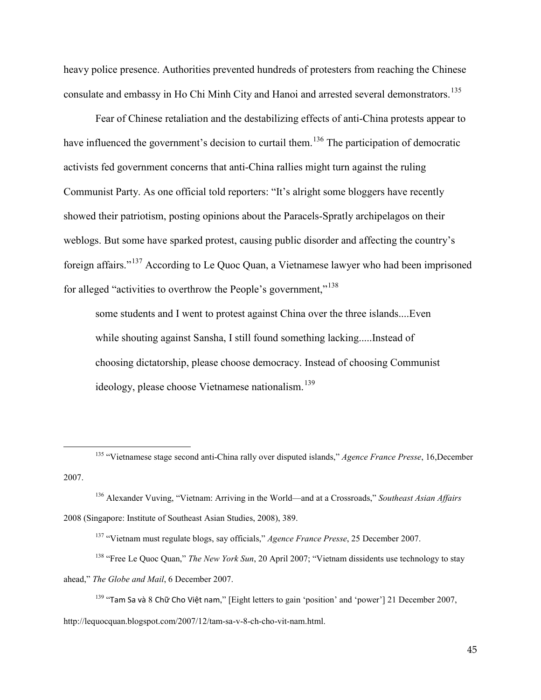heavy police presence. Authorities prevented hundreds of protesters from reaching the Chinese consulate and embassy in Ho Chi Minh City and Hanoi and arrested several demonstrators.<sup>[135](#page-44-0)</sup>

Fear of Chinese retaliation and the destabilizing effects of anti-China protests appear to have influenced the government's decision to curtail them.<sup>[136](#page-44-1)</sup> The participation of democratic activists fed government concerns that anti-China rallies might turn against the ruling Communist Party. As one official told reporters: "It's alright some bloggers have recently showed their patriotism, posting opinions about the Paracels-Spratly archipelagos on their weblogs. But some have sparked protest, causing public disorder and affecting the country's foreign affairs."[137](#page-44-2) According to Le Quoc Quan, a Vietnamese lawyer who had been imprisoned for alleged "activities to overthrow the People's government,"<sup>[138](#page-44-3)</sup>

some students and I went to protest against China over the three islands....Even while shouting against Sansha, I still found something lacking.....Instead of choosing dictatorship, please choose democracy. Instead of choosing Communist ideology, please choose Vietnamese nationalism.<sup>[139](#page-44-4)</sup>

<span id="page-44-0"></span><sup>135</sup> "Vietnamese stage second anti-China rally over disputed islands," *Agence France Presse*, 16,December 2007.

<span id="page-44-1"></span><sup>136</sup> Alexander Vuving, "Vietnam: Arriving in the World—and at a Crossroads," *Southeast Asian Affairs* 2008 (Singapore: Institute of Southeast Asian Studies, 2008), 389.

<sup>137</sup> "Vietnam must regulate blogs, say officials," *Agence France Presse*, 25 December 2007.

<span id="page-44-3"></span><span id="page-44-2"></span><sup>&</sup>lt;sup>138</sup> "Free Le Quoc Quan," *The New York Sun*, 20 April 2007; "Vietnam dissidents use technology to stay ahead," *The Globe and Mail*, 6 December 2007.

 $139$  "Tam Sa và 8 Chữ Cho Việt nam," [Eight letters to gain 'position' and 'power'] 21 December 2007,

<span id="page-44-4"></span>http://lequocquan.blogspot.com/2007/12/tam-sa-v-8-ch-cho-vit-nam.html.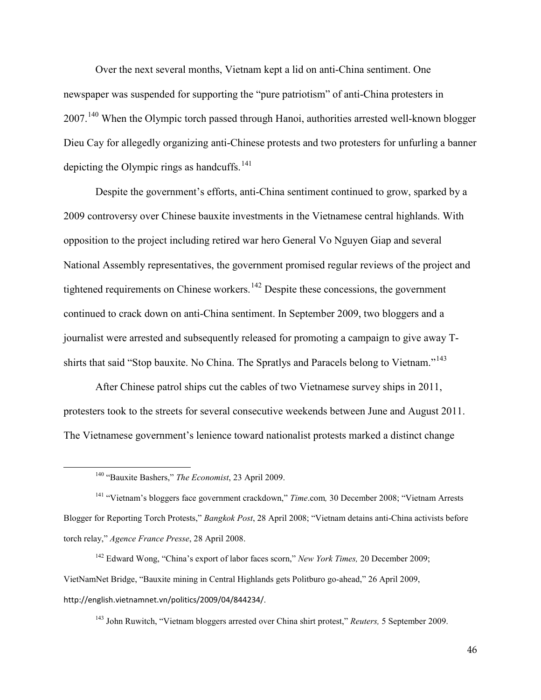Over the next several months, Vietnam kept a lid on anti-China sentiment. One newspaper was suspended for supporting the "pure patriotism" of anti-China protesters in 2007.<sup>[140](#page-45-0)</sup> When the Olympic torch passed through Hanoi, authorities arrested well-known blogger Dieu Cay for allegedly organizing anti-Chinese protests and two protesters for unfurling a banner depicting the Olympic rings as handcuffs. $141$ 

Despite the government's efforts, anti-China sentiment continued to grow, sparked by a 2009 controversy over Chinese bauxite investments in the Vietnamese central highlands. With opposition to the project including retired war hero General Vo Nguyen Giap and several National Assembly representatives, the government promised regular reviews of the project and tightened requirements on Chinese workers.<sup>[142](#page-45-2)</sup> Despite these concessions, the government continued to crack down on anti-China sentiment. In September 2009, two bloggers and a journalist were arrested and subsequently released for promoting a campaign to give away T-shirts that said "Stop bauxite. No China. The Spratlys and Paracels belong to Vietnam."<sup>[143](#page-45-3)</sup>

After Chinese patrol ships cut the cables of two Vietnamese survey ships in 2011, protesters took to the streets for several consecutive weekends between June and August 2011. The Vietnamese government's lenience toward nationalist protests marked a distinct change

<span id="page-45-0"></span> $\overline{a}$ 

<sup>143</sup> John Ruwitch, "Vietnam bloggers arrested over China shirt protest," *Reuters,* 5 September 2009.

<sup>140</sup> "Bauxite Bashers," *The Economist*, 23 April 2009.

<span id="page-45-1"></span><sup>141</sup> "Vietnam's bloggers face government crackdown," *Time*.com*,* 30 December 2008; "Vietnam Arrests Blogger for Reporting Torch Protests," *Bangkok Post*, 28 April 2008; "Vietnam detains anti-China activists before torch relay," *Agence France Presse*, 28 April 2008.

<span id="page-45-3"></span><span id="page-45-2"></span><sup>142</sup> Edward Wong, "China's export of labor faces scorn," *New York Times,* 20 December 2009; VietNamNet Bridge, "Bauxite mining in Central Highlands gets Politburo go-ahead," 26 April 2009, http://english.vietnamnet.vn/politics/2009/04/844234/.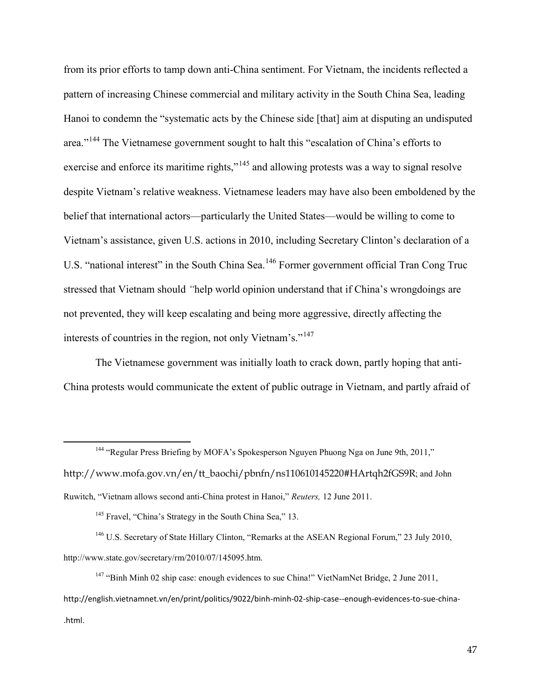from its prior efforts to tamp down anti-China sentiment. For Vietnam, the incidents reflected a pattern of increasing Chinese commercial and military activity in the South China Sea, leading Hanoi to condemn the "systematic acts by the Chinese side [that] aim at disputing an undisputed area."[144](#page-46-0) The Vietnamese government sought to halt this "escalation of China's efforts to exercise and enforce its maritime rights,"<sup>[145](#page-46-1)</sup> and allowing protests was a way to signal resolve despite Vietnam's relative weakness. Vietnamese leaders may have also been emboldened by the belief that international actors—particularly the United States—would be willing to come to Vietnam's assistance, given U.S. actions in 2010, including Secretary Clinton's declaration of a U.S. "national interest" in the South China Sea.<sup>[146](#page-46-2)</sup> Former government official Tran Cong Truc stressed that Vietnam should *"*help world opinion understand that if China's wrongdoings are not prevented, they will keep escalating and being more aggressive, directly affecting the interests of countries in the region, not only Vietnam's."<sup>[147](#page-46-3)</sup>

The Vietnamese government was initially loath to crack down, partly hoping that anti-China protests would communicate the extent of public outrage in Vietnam, and partly afraid of

<span id="page-46-0"></span><sup>144</sup> "Regular Press Briefing by MOFA's Spokesperson Nguyen Phuong Nga on June 9th, 2011," http://www.mofa.gov.vn/en/tt\_baochi/pbnfn/ns110610145220#HArtqh2fGS9R; and John Ruwitch, "Vietnam allows second anti-China protest in Hanoi," *Reuters,* 12 June 2011.

<sup>145</sup> Fravel, "China's Strategy in the South China Sea," 13.

 $\overline{a}$ 

<span id="page-46-2"></span><span id="page-46-1"></span><sup>146</sup> U.S. Secretary of State Hillary Clinton, "Remarks at the ASEAN Regional Forum," 23 July 2010, http://www.state.gov/secretary/rm/2010/07/145095.htm.

<span id="page-46-3"></span><sup>147</sup> "Binh Minh 02 ship case: enough evidences to sue China!" VietNamNet Bridge, 2 June 2011, http://english.vietnamnet.vn/en/print/politics/9022/binh-minh-02-ship-case--enough-evidences-to-sue-china- .html.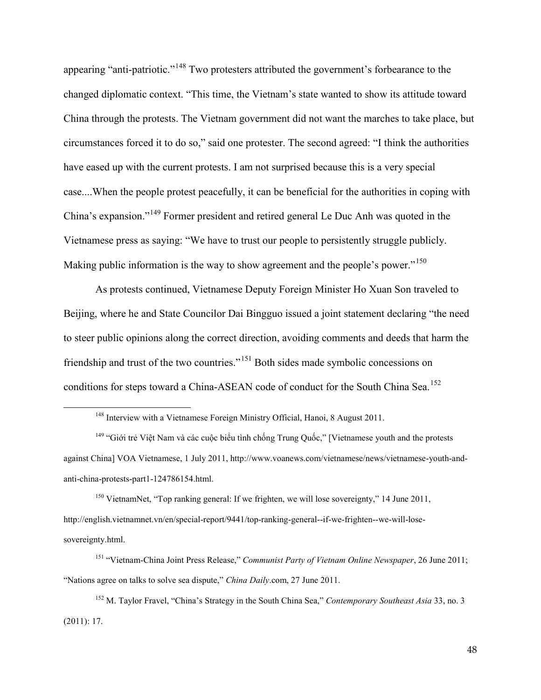appearing "anti-patriotic."<sup>[148](#page-47-0)</sup> Two protesters attributed the government's forbearance to the changed diplomatic context. "This time, the Vietnam's state wanted to show its attitude toward China through the protests. The Vietnam government did not want the marches to take place, but circumstances forced it to do so," said one protester. The second agreed: "I think the authorities have eased up with the current protests. I am not surprised because this is a very special case....When the people protest peacefully, it can be beneficial for the authorities in coping with China's expansion."[149](#page-47-1) Former president and retired general Le Duc Anh was quoted in the Vietnamese press as saying: "We have to trust our people to persistently struggle publicly. Making public information is the way to show agreement and the people's power."<sup>[150](#page-47-2)</sup>

As protests continued, Vietnamese Deputy Foreign Minister Ho Xuan Son traveled to Beijing, where he and State Councilor Dai Bingguo issued a joint statement declaring "the need to steer public opinions along the correct direction, avoiding comments and deeds that harm the friendship and trust of the two countries."[151](#page-47-3) Both sides made symbolic concessions on conditions for steps toward a China-ASEAN code of conduct for the South China Sea.<sup>[152](#page-47-4)</sup>

<span id="page-47-0"></span> $\overline{a}$ 

<span id="page-47-2"></span><sup>150</sup> VietnamNet, "Top ranking general: If we frighten, we will lose sovereignty," 14 June 2011, http://english.vietnamnet.vn/en/special-report/9441/top-ranking-general--if-we-frighten--we-will-losesovereignty.html.

<sup>&</sup>lt;sup>148</sup> Interview with a Vietnamese Foreign Ministry Official, Hanoi, 8 August 2011.

<span id="page-47-1"></span><sup>&</sup>lt;sup>149</sup> "Giới trẻ Việt Nam và các cuộc biểu tình chống Trung Quốc," [Vietnamese youth and the protests against China] VOA Vietnamese, 1 July 2011, http://www.voanews.com/vietnamese/news/vietnamese-youth-andanti-china-protests-part1-124786154.html.

<span id="page-47-3"></span><sup>151</sup> "Vietnam-China Joint Press Release," *Communist Party of Vietnam Online Newspaper*, 26 June 2011; "Nations agree on talks to solve sea dispute," *China Daily*.com, 27 June 2011.

<span id="page-47-4"></span><sup>152</sup> M. Taylor Fravel, "China's Strategy in the South China Sea," *Contemporary Southeast Asia* 33, no. 3 (2011): 17.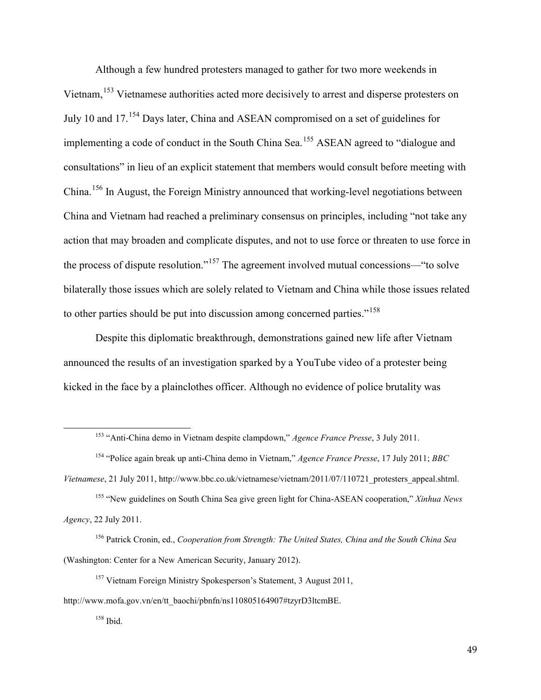Although a few hundred protesters managed to gather for two more weekends in Vietnam,<sup>[153](#page-48-0)</sup> Vietnamese authorities acted more decisively to arrest and disperse protesters on July 10 and 17.[154](#page-48-1) Days later, China and ASEAN compromised on a set of guidelines for implementing a code of conduct in the South China Sea.<sup>[155](#page-48-2)</sup> ASEAN agreed to "dialogue and consultations" in lieu of an explicit statement that members would consult before meeting with China.[156](#page-48-3) In August, the Foreign Ministry announced that working-level negotiations between China and Vietnam had reached a preliminary consensus on principles, including "not take any action that may broaden and complicate disputes, and not to use force or threaten to use force in the process of dispute resolution."[157](#page-48-4) The agreement involved mutual concessions—"to solve bilaterally those issues which are solely related to Vietnam and China while those issues related to other parties should be put into discussion among concerned parties."<sup>[158](#page-48-5)</sup>

Despite this diplomatic breakthrough, demonstrations gained new life after Vietnam announced the results of an investigation sparked by a YouTube video of a protester being kicked in the face by a plainclothes officer. Although no evidence of police brutality was

<span id="page-48-0"></span> $\ddot{\phantom{a}}$ 

<sup>153</sup> "Anti-China demo in Vietnam despite clampdown," *Agence France Presse*, 3 July 2011.

<sup>154</sup> "Police again break up anti-China demo in Vietnam," *Agence France Presse*, 17 July 2011; *BBC* 

<span id="page-48-1"></span>*Vietnamese*, 21 July 2011, http://www.bbc.co.uk/vietnamese/vietnam/2011/07/110721\_protesters\_appeal.shtml.

<span id="page-48-2"></span><sup>155</sup> "New guidelines on South China Sea give green light for China-ASEAN cooperation," *Xinhua News Agency*, 22 July 2011.

<span id="page-48-3"></span><sup>156</sup> Patrick Cronin, ed., *Cooperation from Strength: The United States, China and the South China Sea* (Washington: Center for a New American Security, January 2012).

<sup>&</sup>lt;sup>157</sup> Vietnam Foreign Ministry Spokesperson's Statement, 3 August 2011,

<span id="page-48-5"></span><span id="page-48-4"></span>http://www.mofa.gov.vn/en/tt\_baochi/pbnfn/ns110805164907#tzyrD3ltcmBE.

<sup>158</sup> Ibid.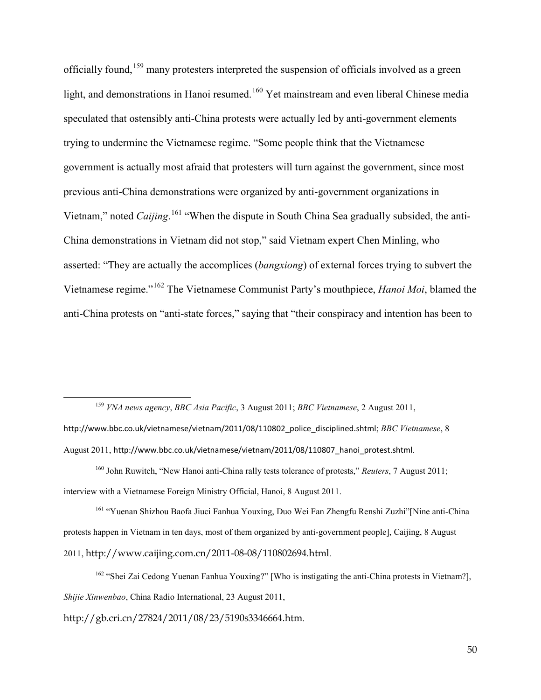officially found,[159](#page-49-0) many protesters interpreted the suspension of officials involved as a green light, and demonstrations in Hanoi resumed.<sup>[160](#page-49-1)</sup> Yet mainstream and even liberal Chinese media speculated that ostensibly anti-China protests were actually led by anti-government elements trying to undermine the Vietnamese regime. "Some people think that the Vietnamese government is actually most afraid that protesters will turn against the government, since most previous anti-China demonstrations were organized by anti-government organizations in Vietnam," noted *Caijing*.<sup>[161](#page-49-2)</sup> "When the dispute in South China Sea gradually subsided, the anti-China demonstrations in Vietnam did not stop," said Vietnam expert Chen Minling, who asserted: "They are actually the accomplices (*bangxiong*) of external forces trying to subvert the Vietnamese regime."[162](#page-49-3) The Vietnamese Communist Party's mouthpiece, *Hanoi Moi*, blamed the anti-China protests on "anti-state forces," saying that "their conspiracy and intention has been to

<span id="page-49-0"></span><sup>159</sup> *VNA news agency*, *BBC Asia Pacific*, 3 August 2011; *BBC Vietnamese*, 2 August 2011, http://www.bbc.co.uk/vietnamese/vietnam/2011/08/110802\_police\_disciplined.shtml; *BBC Vietnamese*, 8 August 2011, http://www.bbc.co.uk/vietnamese/vietnam/2011/08/110807\_hanoi\_protest.shtml.

<span id="page-49-1"></span><sup>160</sup> John Ruwitch, "New Hanoi anti-China rally tests tolerance of protests," *Reuters*, 7 August 2011; interview with a Vietnamese Foreign Ministry Official, Hanoi, 8 August 2011.

<span id="page-49-2"></span><sup>161</sup> "Yuenan Shizhou Baofa Jiuci Fanhua Youxing, Duo Wei Fan Zhengfu Renshi Zuzhi"[Nine anti-China protests happen in Vietnam in ten days, most of them organized by anti-government people], Caijing, 8 August 2011, http://www.caijing.com.cn/2011-08-08/110802694.html.

<span id="page-49-3"></span><sup>162</sup> "Shei Zai Cedong Yuenan Fanhua Youxing?" [Who is instigating the anti-China protests in Vietnam?], *Shijie Xinwenbao*, China Radio International, 23 August 2011,

http://gb.cri.cn/27824/2011/08/23/5190s3346664.htm.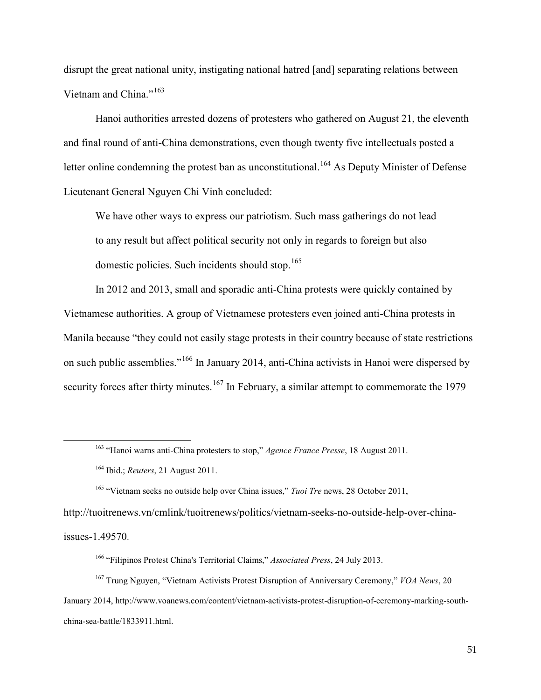disrupt the great national unity, instigating national hatred [and] separating relations between Vietnam and China."[163](#page-50-0)

Hanoi authorities arrested dozens of protesters who gathered on August 21, the eleventh and final round of anti-China demonstrations, even though twenty five intellectuals posted a letter online condemning the protest ban as unconstitutional.<sup>[164](#page-50-1)</sup> As Deputy Minister of Defense Lieutenant General Nguyen Chi Vinh concluded:

We have other ways to express our patriotism. Such mass gatherings do not lead to any result but affect political security not only in regards to foreign but also domestic policies. Such incidents should stop.<sup>[165](#page-50-2)</sup>

In 2012 and 2013, small and sporadic anti-China protests were quickly contained by Vietnamese authorities. A group of Vietnamese protesters even joined anti-China protests in Manila because "they could not easily stage protests in their country because of state restrictions on such public assemblies."[166](#page-50-3) In January 2014, anti-China activists in Hanoi were dispersed by security forces after thirty minutes.<sup>[167](#page-50-4)</sup> In February, a similar attempt to commemorate the 1979

<span id="page-50-2"></span><span id="page-50-1"></span><span id="page-50-0"></span>http://tuoitrenews.vn/cmlink/tuoitrenews/politics/vietnam-seeks-no-outside-help-over-china-

issues-1.49570.

<sup>163</sup> "Hanoi warns anti-China protesters to stop," *Agence France Presse*, 18 August 2011.

<sup>164</sup> Ibid.; *Reuters*, 21 August 2011.

<sup>165</sup> "Vietnam seeks no outside help over China issues," *Tuoi Tre* news, 28 October 2011,

<sup>166</sup> "Filipinos Protest China's Territorial Claims," *Associated Press*, 24 July 2013.

<span id="page-50-4"></span><span id="page-50-3"></span><sup>167</sup> Trung Nguyen, "Vietnam Activists Protest Disruption of Anniversary Ceremony," *VOA News*, 20 January 2014, http://www.voanews.com/content/vietnam-activists-protest-disruption-of-ceremony-marking-southchina-sea-battle/1833911.html.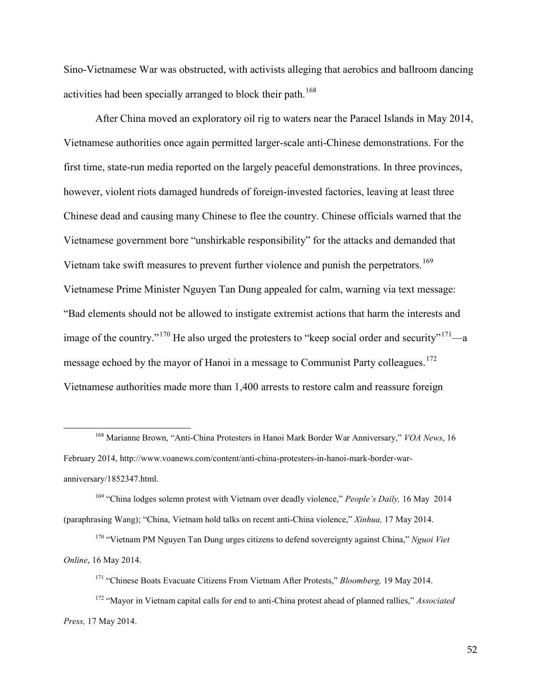Sino-Vietnamese War was obstructed, with activists alleging that aerobics and ballroom dancing activities had been specially arranged to block their path.<sup>[168](#page-51-0)</sup>

After China moved an exploratory oil rig to waters near the Paracel Islands in May 2014, Vietnamese authorities once again permitted larger-scale anti-Chinese demonstrations. For the first time, state-run media reported on the largely peaceful demonstrations. In three provinces, however, violent riots damaged hundreds of foreign-invested factories, leaving at least three Chinese dead and causing many Chinese to flee the country. Chinese officials warned that the Vietnamese government bore "unshirkable responsibility" for the attacks and demanded that Vietnam take swift measures to prevent further violence and punish the perpetrators.<sup>[169](#page-51-1)</sup> Vietnamese Prime Minister Nguyen Tan Dung appealed for calm, warning via text message: "Bad elements should not be allowed to instigate extremist actions that harm the interests and image of the country."<sup>[170](#page-51-2)</sup> He also urged the protesters to "keep social order and security"<sup>171</sup>—a message echoed by the mayor of Hanoi in a message to Communist Party colleagues.<sup>[172](#page-51-4)</sup> Vietnamese authorities made more than 1,400 arrests to restore calm and reassure foreign

 $\ddot{\phantom{a}}$ 

<span id="page-51-0"></span><sup>168</sup> Marianne Brown, "Anti-China Protesters in Hanoi Mark Border War Anniversary," *VOA News*, 16 February 2014, http://www.voanews.com/content/anti-china-protesters-in-hanoi-mark-border-waranniversary/1852347.html.

<span id="page-51-1"></span><sup>169</sup> "China lodges solemn protest with Vietnam over deadly violence," *People's Daily,* 16 May 2014 (paraphrasing Wang); "China, Vietnam hold talks on recent anti-China violence," *Xinhua,* 17 May 2014.

<span id="page-51-2"></span><sup>170</sup> "Vietnam PM Nguyen Tan Dung urges citizens to defend sovereignty against China," *Nguoi Viet Online*, 16 May 2014.

<sup>171</sup> "Chinese Boats Evacuate Citizens From Vietnam After Protests," *Bloomberg,* 19 May 2014.

<span id="page-51-4"></span><span id="page-51-3"></span><sup>172</sup> "Mayor in Vietnam capital calls for end to anti-China protest ahead of planned rallies," *Associated Press,* 17 May 2014.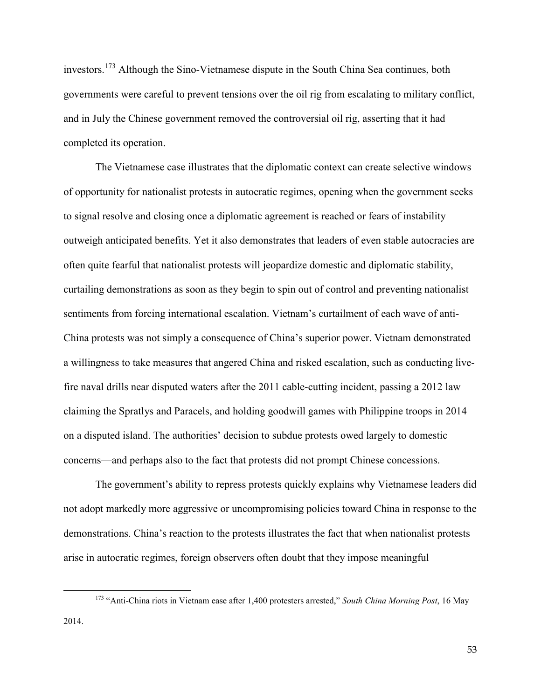investors.[173](#page-52-0) Although the Sino-Vietnamese dispute in the South China Sea continues, both governments were careful to prevent tensions over the oil rig from escalating to military conflict, and in July the Chinese government removed the controversial oil rig, asserting that it had completed its operation.

The Vietnamese case illustrates that the diplomatic context can create selective windows of opportunity for nationalist protests in autocratic regimes, opening when the government seeks to signal resolve and closing once a diplomatic agreement is reached or fears of instability outweigh anticipated benefits. Yet it also demonstrates that leaders of even stable autocracies are often quite fearful that nationalist protests will jeopardize domestic and diplomatic stability, curtailing demonstrations as soon as they begin to spin out of control and preventing nationalist sentiments from forcing international escalation. Vietnam's curtailment of each wave of anti-China protests was not simply a consequence of China's superior power. Vietnam demonstrated a willingness to take measures that angered China and risked escalation, such as conducting livefire naval drills near disputed waters after the 2011 cable-cutting incident, passing a 2012 law claiming the Spratlys and Paracels, and holding goodwill games with Philippine troops in 2014 on a disputed island. The authorities' decision to subdue protests owed largely to domestic concerns—and perhaps also to the fact that protests did not prompt Chinese concessions.

The government's ability to repress protests quickly explains why Vietnamese leaders did not adopt markedly more aggressive or uncompromising policies toward China in response to the demonstrations. China's reaction to the protests illustrates the fact that when nationalist protests arise in autocratic regimes, foreign observers often doubt that they impose meaningful

<span id="page-52-0"></span><sup>173</sup> "Anti-China riots in Vietnam ease after 1,400 protesters arrested," *South China Morning Post*, 16 May 2014.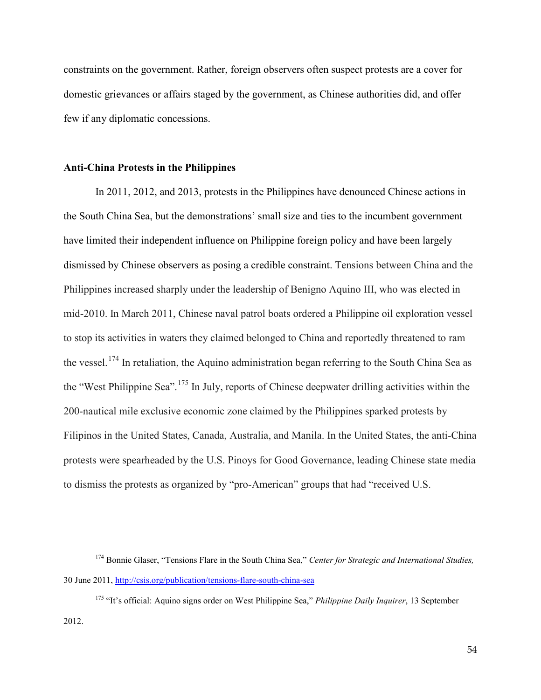constraints on the government. Rather, foreign observers often suspect protests are a cover for domestic grievances or affairs staged by the government, as Chinese authorities did, and offer few if any diplomatic concessions.

#### **Anti-China Protests in the Philippines**

 $\overline{a}$ 

In 2011, 2012, and 2013, protests in the Philippines have denounced Chinese actions in the South China Sea, but the demonstrations' small size and ties to the incumbent government have limited their independent influence on Philippine foreign policy and have been largely dismissed by Chinese observers as posing a credible constraint. Tensions between China and the Philippines increased sharply under the leadership of Benigno Aquino III, who was elected in mid-2010. In March 2011, Chinese naval patrol boats ordered a Philippine oil exploration vessel to stop its activities in waters they claimed belonged to China and reportedly threatened to ram the vessel.<sup>[174](#page-53-0)</sup> In retaliation, the Aquino administration began referring to the South China Sea as the "West Philippine Sea".[175](#page-53-1) In July, reports of Chinese deepwater drilling activities within the 200-nautical mile exclusive economic zone claimed by the Philippines sparked protests by Filipinos in the United States, Canada, Australia, and Manila. In the United States, the anti-China protests were spearheaded by the U.S. Pinoys for Good Governance, leading Chinese state media to dismiss the protests as organized by "pro-American" groups that had "received U.S.

<span id="page-53-0"></span><sup>&</sup>lt;sup>174</sup> Bonnie Glaser, "Tensions Flare in the South China Sea," *Center for Strategic and International Studies*, 30 June 2011,<http://csis.org/publication/tensions-flare-south-china-sea>

<span id="page-53-1"></span><sup>175</sup> "It's official: Aquino signs order on West Philippine Sea," *Philippine Daily Inquirer*, 13 September 2012.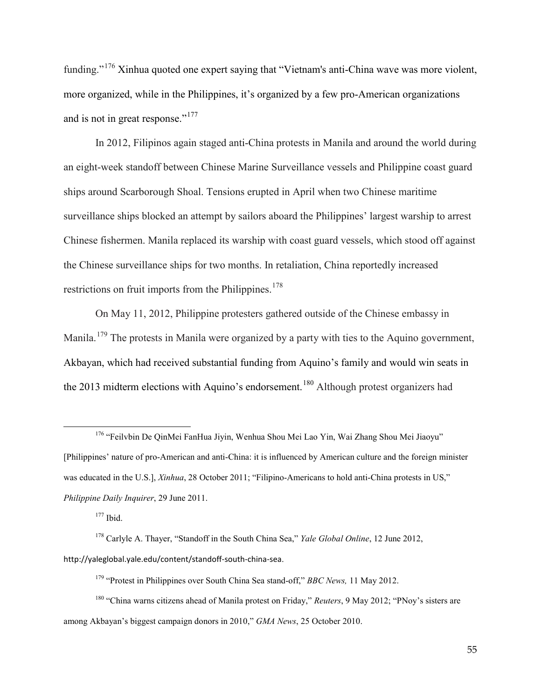funding."<sup>[176](#page-54-0)</sup> Xinhua quoted one expert saying that "Vietnam's anti-China wave was more violent, more organized, while in the Philippines, it's organized by a few pro-American organizations and is not in great response."<sup>[177](#page-54-1)</sup>

In 2012, Filipinos again staged anti-China protests in Manila and around the world during an eight-week standoff between Chinese Marine Surveillance vessels and Philippine coast guard ships around Scarborough Shoal. Tensions erupted in April when two Chinese maritime surveillance ships blocked an attempt by sailors aboard the Philippines' largest warship to arrest Chinese fishermen. Manila replaced its warship with coast guard vessels, which stood off against the Chinese surveillance ships for two months. In retaliation, China reportedly increased restrictions on fruit imports from the Philippines.<sup>[178](#page-54-2)</sup>

On May 11, 2012, Philippine protesters gathered outside of the Chinese embassy in Manila.<sup>[179](#page-54-3)</sup> The protests in Manila were organized by a party with ties to the Aquino government, Akbayan, which had received substantial funding from Aquino's family and would win seats in the 2013 midterm elections with Aquino's endorsement.<sup>[180](#page-54-4)</sup> Although protest organizers had

 $177$  Ibid.

<span id="page-54-0"></span><sup>176</sup> "Feilvbin De QinMei FanHua Jiyin, Wenhua Shou Mei Lao Yin, Wai Zhang Shou Mei Jiaoyu" [Philippines' nature of pro-American and anti-China: it is influenced by American culture and the foreign minister was educated in the U.S.], *Xinhua*, 28 October 2011; "Filipino-Americans to hold anti-China protests in US," *Philippine Daily Inquirer*, 29 June 2011.

<span id="page-54-2"></span><span id="page-54-1"></span><sup>178</sup> Carlyle A. Thayer, "Standoff in the South China Sea," *Yale Global Online*, 12 June 2012, http://yaleglobal.yale.edu/content/standoff-south-china-sea.

<sup>179</sup> "Protest in Philippines over South China Sea stand-off," *BBC News,* 11 May 2012.

<span id="page-54-4"></span><span id="page-54-3"></span><sup>180</sup> "China warns citizens ahead of Manila protest on Friday," *Reuters*, 9 May 2012; "PNoy's sisters are among Akbayan's biggest campaign donors in 2010," *GMA News*, 25 October 2010.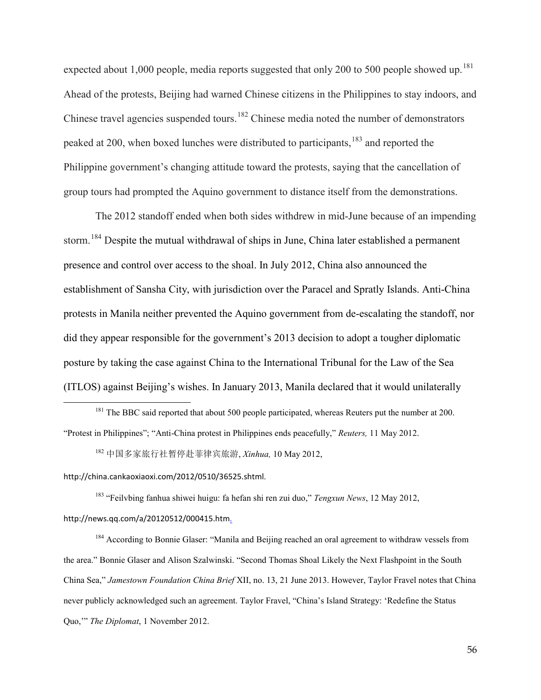expected about 1,000 people, media reports suggested that only 200 to 500 people showed up.<sup>[181](#page-55-0)</sup> Ahead of the protests, Beijing had warned Chinese citizens in the Philippines to stay indoors, and Chinese travel agencies suspended tours.<sup>[182](#page-55-1)</sup> Chinese media noted the number of demonstrators peaked at 200, when boxed lunches were distributed to participants,<sup>[183](#page-55-2)</sup> and reported the Philippine government's changing attitude toward the protests, saying that the cancellation of group tours had prompted the Aquino government to distance itself from the demonstrations.

The 2012 standoff ended when both sides withdrew in mid-June because of an impending storm.<sup>[184](#page-55-3)</sup> Despite the mutual withdrawal of ships in June, China later established a permanent presence and control over access to the shoal. In July 2012, China also announced the establishment of Sansha City, with jurisdiction over the Paracel and Spratly Islands. Anti-China protests in Manila neither prevented the Aquino government from de-escalating the standoff, nor did they appear responsible for the government's 2013 decision to adopt a tougher diplomatic posture by taking the case against China to the International Tribunal for the Law of the Sea (ITLOS) against Beijing's wishes. In January 2013, Manila declared that it would unilaterally

<sup>182</sup> 中国多家旅行社暂停赴菲律宾旅游, *Xinhua,* 10 May 2012,

<span id="page-55-1"></span>http://china.cankaoxiaoxi.com/2012/0510/36525.shtml.

 $\overline{a}$ 

<span id="page-55-2"></span><sup>183</sup> "Feilvbing fanhua shiwei huigu: fa hefan shi ren zui duo," *Tengxun News*, 12 May 2012, http://news.qq.com/a/20120512/000415.htm.

<span id="page-55-3"></span><sup>184</sup> According to Bonnie Glaser: "Manila and Beijing reached an oral agreement to withdraw vessels from the area." Bonnie Glaser and Alison Szalwinski. "Second Thomas Shoal Likely the Next Flashpoint in the South China Sea," *Jamestown Foundation China Brief* XII, no. 13, 21 June 2013. However, Taylor Fravel notes that China never publicly acknowledged such an agreement. Taylor Fravel, "China's Island Strategy: 'Redefine the Status Quo,'" *The Diplomat*, 1 November 2012.

<span id="page-55-0"></span><sup>&</sup>lt;sup>181</sup> The BBC said reported that about 500 people participated, whereas Reuters put the number at 200. "Protest in Philippines"; "Anti-China protest in Philippines ends peacefully," *Reuters,* 11 May 2012.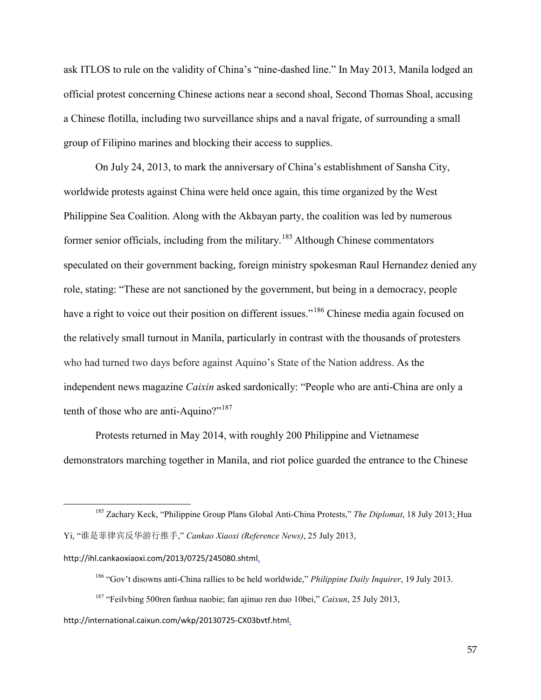ask ITLOS to rule on the validity of China's "nine-dashed line." In May 2013, Manila lodged an official protest concerning Chinese actions near a second shoal, Second Thomas Shoal, accusing a Chinese flotilla, including two surveillance ships and a naval frigate, of surrounding a small group of Filipino marines and blocking their access to supplies.

On July 24, 2013, to mark the anniversary of China's establishment of Sansha City, worldwide protests against China were held once again, this time organized by the West Philippine Sea Coalition. Along with the Akbayan party, the coalition was led by numerous former senior officials, including from the military.[185](#page-56-0) Although Chinese commentators speculated on their government backing, foreign ministry spokesman Raul Hernandez denied any role, stating: "These are not sanctioned by the government, but being in a democracy, people have a right to voice out their position on different issues."<sup>[186](#page-56-1)</sup> Chinese media again focused on the relatively small turnout in Manila, particularly in contrast with the thousands of protesters who had turned two days before against Aquino's State of the Nation address. As the independent news magazine *Caixin* asked sardonically: "People who are anti-China are only a tenth of those who are anti-Aquino?"<sup>[187](#page-56-2)</sup>

Protests returned in May 2014, with roughly 200 Philippine and Vietnamese demonstrators marching together in Manila, and riot police guarded the entrance to the Chinese

 $\overline{a}$ 

- <sup>186</sup> "Gov't disowns anti-China rallies to be held worldwide," *Philippine Daily Inquirer*, 19 July 2013.
- <sup>187</sup> "Feilvbing 500ren fanhua naobie; fan ajinuo ren duo 10bei," *Caixun*, 25 July 2013,

#### <span id="page-56-2"></span>http://international.caixun.com/wkp/20130725-CX03bvtf.html.

<span id="page-56-0"></span><sup>185</sup> Zachary Keck, "Philippine Group Plans Global Anti-China Protests," *The Diplomat*, 18 July 2013; Hua Yi, "谁是菲律宾反华游行推手," *Cankao Xiaoxi (Reference News)*, 25 July 2013,

<span id="page-56-1"></span>http://ihl.cankaoxiaoxi.com/2013/0725/245080.shtml.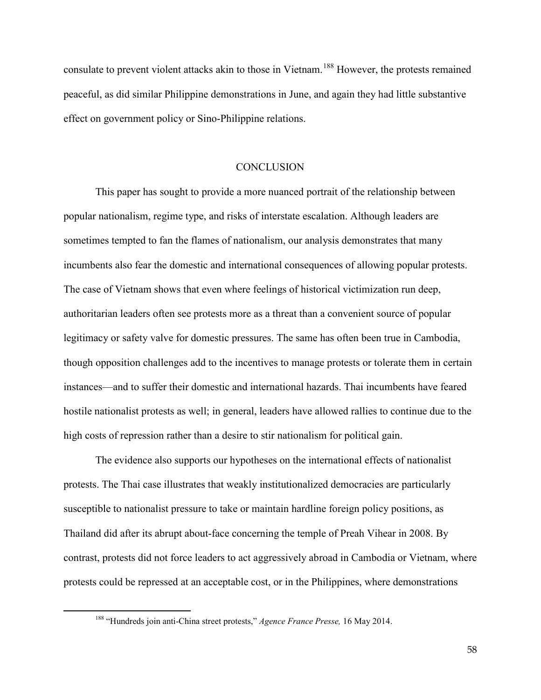consulate to prevent violent attacks akin to those in Vietnam.<sup>[188](#page-57-0)</sup> However, the protests remained peaceful, as did similar Philippine demonstrations in June, and again they had little substantive effect on government policy or Sino-Philippine relations.

#### **CONCLUSION**

This paper has sought to provide a more nuanced portrait of the relationship between popular nationalism, regime type, and risks of interstate escalation. Although leaders are sometimes tempted to fan the flames of nationalism, our analysis demonstrates that many incumbents also fear the domestic and international consequences of allowing popular protests. The case of Vietnam shows that even where feelings of historical victimization run deep, authoritarian leaders often see protests more as a threat than a convenient source of popular legitimacy or safety valve for domestic pressures. The same has often been true in Cambodia, though opposition challenges add to the incentives to manage protests or tolerate them in certain instances—and to suffer their domestic and international hazards. Thai incumbents have feared hostile nationalist protests as well; in general, leaders have allowed rallies to continue due to the high costs of repression rather than a desire to stir nationalism for political gain.

The evidence also supports our hypotheses on the international effects of nationalist protests. The Thai case illustrates that weakly institutionalized democracies are particularly susceptible to nationalist pressure to take or maintain hardline foreign policy positions, as Thailand did after its abrupt about-face concerning the temple of Preah Vihear in 2008. By contrast, protests did not force leaders to act aggressively abroad in Cambodia or Vietnam, where protests could be repressed at an acceptable cost, or in the Philippines, where demonstrations

<span id="page-57-0"></span> $\overline{a}$ 

58

<sup>188</sup> "Hundreds join anti-China street protests," *Agence France Presse,* 16 May 2014.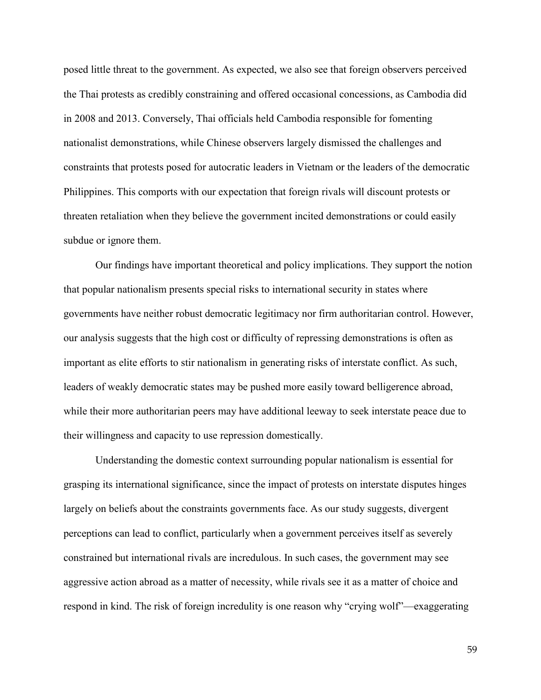posed little threat to the government. As expected, we also see that foreign observers perceived the Thai protests as credibly constraining and offered occasional concessions, as Cambodia did in 2008 and 2013. Conversely, Thai officials held Cambodia responsible for fomenting nationalist demonstrations, while Chinese observers largely dismissed the challenges and constraints that protests posed for autocratic leaders in Vietnam or the leaders of the democratic Philippines. This comports with our expectation that foreign rivals will discount protests or threaten retaliation when they believe the government incited demonstrations or could easily subdue or ignore them.

Our findings have important theoretical and policy implications. They support the notion that popular nationalism presents special risks to international security in states where governments have neither robust democratic legitimacy nor firm authoritarian control. However, our analysis suggests that the high cost or difficulty of repressing demonstrations is often as important as elite efforts to stir nationalism in generating risks of interstate conflict. As such, leaders of weakly democratic states may be pushed more easily toward belligerence abroad, while their more authoritarian peers may have additional leeway to seek interstate peace due to their willingness and capacity to use repression domestically.

Understanding the domestic context surrounding popular nationalism is essential for grasping its international significance, since the impact of protests on interstate disputes hinges largely on beliefs about the constraints governments face. As our study suggests, divergent perceptions can lead to conflict, particularly when a government perceives itself as severely constrained but international rivals are incredulous. In such cases, the government may see aggressive action abroad as a matter of necessity, while rivals see it as a matter of choice and respond in kind. The risk of foreign incredulity is one reason why "crying wolf"—exaggerating

59